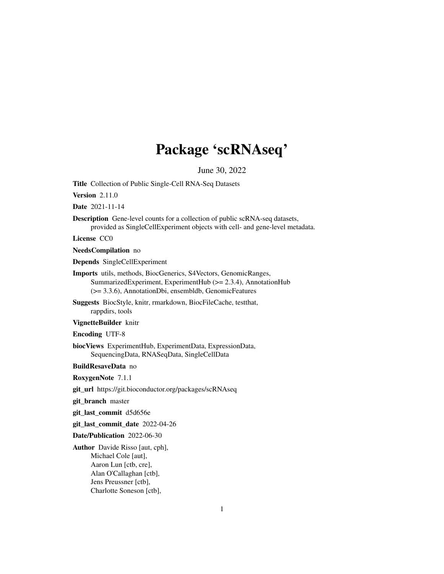# Package 'scRNAseq'

June 30, 2022

<span id="page-0-0"></span>Title Collection of Public Single-Cell RNA-Seq Datasets

Version 2.11.0

Date 2021-11-14

Description Gene-level counts for a collection of public scRNA-seq datasets, provided as SingleCellExperiment objects with cell- and gene-level metadata.

License CC0

NeedsCompilation no

Depends SingleCellExperiment

Imports utils, methods, BiocGenerics, S4Vectors, GenomicRanges, SummarizedExperiment, ExperimentHub (>= 2.3.4), AnnotationHub (>= 3.3.6), AnnotationDbi, ensembldb, GenomicFeatures

Suggests BiocStyle, knitr, rmarkdown, BiocFileCache, testthat, rappdirs, tools

VignetteBuilder knitr

Encoding UTF-8

biocViews ExperimentHub, ExperimentData, ExpressionData, SequencingData, RNASeqData, SingleCellData

BuildResaveData no

RoxygenNote 7.1.1

git\_url https://git.bioconductor.org/packages/scRNAseq

git\_branch master

git\_last\_commit d5d656e

git\_last\_commit\_date 2022-04-26

Date/Publication 2022-06-30

Author Davide Risso [aut, cph], Michael Cole [aut], Aaron Lun [ctb, cre], Alan O'Callaghan [ctb], Jens Preussner [ctb], Charlotte Soneson [ctb],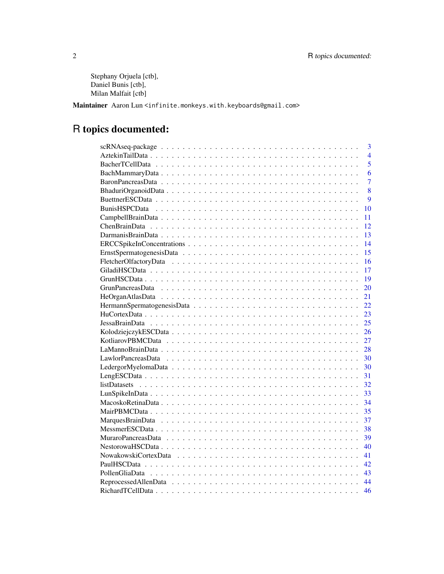Stephany Orjuela [ctb], Daniel Bunis [ctb], Milan Malfait [ctb]

Maintainer Aaron Lun <infinite.monkeys.with.keyboards@gmail.com>

## R topics documented:

| $\overline{3}$                                                                                                                 |
|--------------------------------------------------------------------------------------------------------------------------------|
| $\overline{4}$                                                                                                                 |
| $\overline{5}$                                                                                                                 |
| 6                                                                                                                              |
| $\overline{7}$                                                                                                                 |
| 8                                                                                                                              |
| $\mathbf Q$                                                                                                                    |
| 10                                                                                                                             |
| 11                                                                                                                             |
| 12                                                                                                                             |
| 13                                                                                                                             |
| 14                                                                                                                             |
| 15                                                                                                                             |
| 16                                                                                                                             |
| 17                                                                                                                             |
| 19                                                                                                                             |
| 20                                                                                                                             |
| 21                                                                                                                             |
| 22                                                                                                                             |
| 23                                                                                                                             |
| 25<br>$Jessa Brain Data \dots \dots \dots \dots \dots \dots \dots \dots \dots \dots \dots \dots \dots \dots \dots \dots \dots$ |
| 26                                                                                                                             |
| 27                                                                                                                             |
| 28                                                                                                                             |
| 30                                                                                                                             |
| 30                                                                                                                             |
| 31                                                                                                                             |
| $listDatasets \ldots \ldots \ldots \ldots \ldots \ldots \ldots \ldots \ldots \ldots \ldots \ldots \ldots$<br>32                |
| 33                                                                                                                             |
| 34                                                                                                                             |
| 35                                                                                                                             |
| 37                                                                                                                             |
| 38                                                                                                                             |
| 39                                                                                                                             |
| 40                                                                                                                             |
| 41                                                                                                                             |
| 42                                                                                                                             |
| 43                                                                                                                             |
| 44                                                                                                                             |
| 46                                                                                                                             |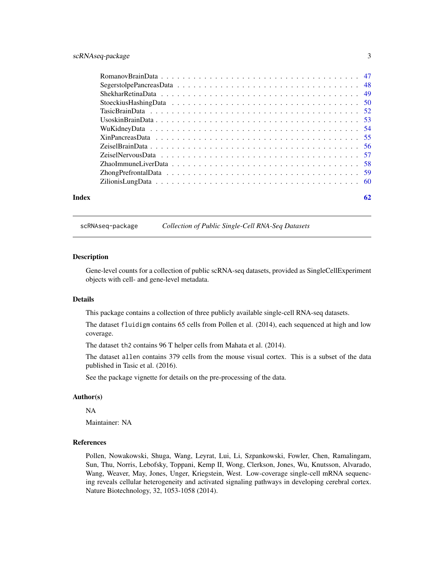#### <span id="page-2-0"></span>scRNAseq-package 3

| Index | 62 |
|-------|----|

scRNAseq-package *Collection of Public Single-Cell RNA-Seq Datasets*

#### Description

Gene-level counts for a collection of public scRNA-seq datasets, provided as SingleCellExperiment objects with cell- and gene-level metadata.

#### Details

This package contains a collection of three publicly available single-cell RNA-seq datasets.

The dataset fluidigm contains 65 cells from Pollen et al. (2014), each sequenced at high and low coverage.

The dataset th2 contains 96 T helper cells from Mahata et al. (2014).

The dataset allen contains 379 cells from the mouse visual cortex. This is a subset of the data published in Tasic et al. (2016).

See the package vignette for details on the pre-processing of the data.

#### Author(s)

NA

Maintainer: NA

#### References

Pollen, Nowakowski, Shuga, Wang, Leyrat, Lui, Li, Szpankowski, Fowler, Chen, Ramalingam, Sun, Thu, Norris, Lebofsky, Toppani, Kemp II, Wong, Clerkson, Jones, Wu, Knutsson, Alvarado, Wang, Weaver, May, Jones, Unger, Kriegstein, West. Low-coverage single-cell mRNA sequencing reveals cellular heterogeneity and activated signaling pathways in developing cerebral cortex. Nature Biotechnology, 32, 1053-1058 (2014).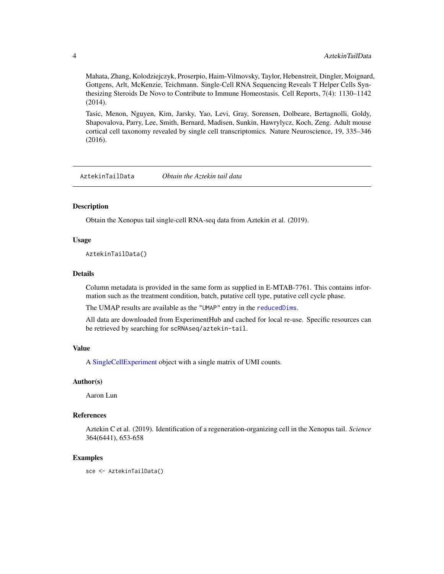<span id="page-3-0"></span>Mahata, Zhang, Kolodziejczyk, Proserpio, Haim-Vilmovsky, Taylor, Hebenstreit, Dingler, Moignard, Gottgens, Arlt, McKenzie, Teichmann. Single-Cell RNA Sequencing Reveals T Helper Cells Synthesizing Steroids De Novo to Contribute to Immune Homeostasis. Cell Reports, 7(4): 1130–1142 (2014).

Tasic, Menon, Nguyen, Kim, Jarsky, Yao, Levi, Gray, Sorensen, Dolbeare, Bertagnolli, Goldy, Shapovalova, Parry, Lee, Smith, Bernard, Madisen, Sunkin, Hawrylycz, Koch, Zeng. Adult mouse cortical cell taxonomy revealed by single cell transcriptomics. Nature Neuroscience, 19, 335–346 (2016).

AztekinTailData *Obtain the Aztekin tail data*

#### Description

Obtain the Xenopus tail single-cell RNA-seq data from Aztekin et al. (2019).

#### Usage

AztekinTailData()

#### Details

Column metadata is provided in the same form as supplied in E-MTAB-7761. This contains information such as the treatment condition, batch, putative cell type, putative cell cycle phase.

The UMAP results are available as the "UMAP" entry in the [reducedDims](#page-0-0).

All data are downloaded from ExperimentHub and cached for local re-use. Specific resources can be retrieved by searching for scRNAseq/aztekin-tail.

#### Value

A [SingleCellExperiment](#page-0-0) object with a single matrix of UMI counts.

#### Author(s)

Aaron Lun

#### References

Aztekin C et al. (2019). Identification of a regeneration-organizing cell in the Xenopus tail. *Science* 364(6441), 653-658

#### Examples

sce <- AztekinTailData()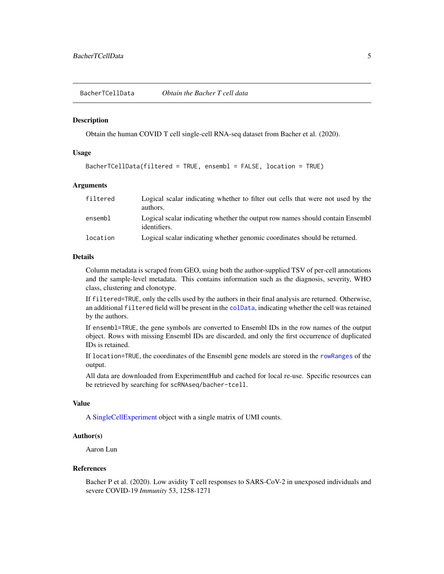<span id="page-4-0"></span>BacherTCellData *Obtain the Bacher T cell data*

#### Description

Obtain the human COVID T cell single-cell RNA-seq dataset from Bacher et al. (2020).

#### Usage

```
BacherTCellData(filtered = TRUE, ensembl = FALSE, location = TRUE)
```
#### Arguments

| filtered | Logical scalar indicating whether to filter out cells that were not used by the<br>authors.   |
|----------|-----------------------------------------------------------------------------------------------|
| ensembl  | Logical scalar indicating whether the output row names should contain Ensembl<br>identifiers. |
| location | Logical scalar indicating whether genomic coordinates should be returned.                     |

#### Details

Column metadata is scraped from GEO, using both the author-supplied TSV of per-cell annotations and the sample-level metadata. This contains information such as the diagnosis, severity, WHO class, clustering and clonotype.

If filtered=TRUE, only the cells used by the authors in their final analysis are returned. Otherwise, an additional filtered field will be present in the [colData](#page-0-0), indicating whether the cell was retained by the authors.

If ensembl=TRUE, the gene symbols are converted to Ensembl IDs in the row names of the output object. Rows with missing Ensembl IDs are discarded, and only the first occurrence of duplicated IDs is retained.

If location=TRUE, the coordinates of the Ensembl gene models are stored in the [rowRanges](#page-0-0) of the output.

All data are downloaded from ExperimentHub and cached for local re-use. Specific resources can be retrieved by searching for scRNAseq/bacher-tcell.

#### Value

A [SingleCellExperiment](#page-0-0) object with a single matrix of UMI counts.

#### Author(s)

Aaron Lun

#### References

Bacher P et al. (2020). Low avidity T cell responses to SARS-CoV-2 in unexposed individuals and severe COVID-19 *Immunity* 53, 1258-1271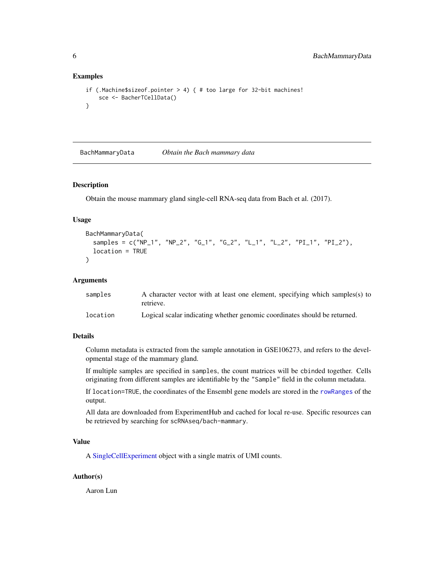#### Examples

```
if (.Machine$sizeof.pointer > 4) { # too large for 32-bit machines!
   sce <- BacherTCellData()
}
```
BachMammaryData *Obtain the Bach mammary data*

#### Description

Obtain the mouse mammary gland single-cell RNA-seq data from Bach et al. (2017).

#### Usage

```
BachMammaryData(
  samples = c("NP_1", "NP_2", "G_1", "G_2", "L_1", "L_2", "PI_1", "PI_2"),
  location = TRUE
)
```
#### Arguments

| samples  | A character vector with at least one element, specifying which samples(s) to<br>retrieve. |
|----------|-------------------------------------------------------------------------------------------|
| location | Logical scalar indicating whether genomic coordinates should be returned.                 |

#### Details

Column metadata is extracted from the sample annotation in GSE106273, and refers to the developmental stage of the mammary gland.

If multiple samples are specified in samples, the count matrices will be cbinded together. Cells originating from different samples are identifiable by the "Sample" field in the column metadata.

If location=TRUE, the coordinates of the Ensembl gene models are stored in the [rowRanges](#page-0-0) of the output.

All data are downloaded from ExperimentHub and cached for local re-use. Specific resources can be retrieved by searching for scRNAseq/bach-mammary.

#### Value

A [SingleCellExperiment](#page-0-0) object with a single matrix of UMI counts.

#### Author(s)

Aaron Lun

<span id="page-5-0"></span>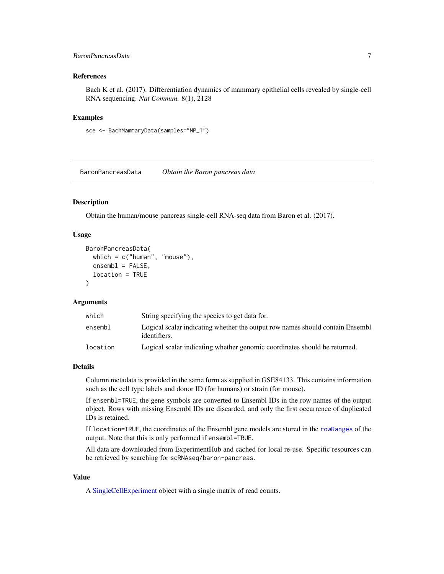#### <span id="page-6-0"></span>BaronPancreasData 7

#### References

Bach K et al. (2017). Differentiation dynamics of mammary epithelial cells revealed by single-cell RNA sequencing. *Nat Commun.* 8(1), 2128

#### Examples

```
sce <- BachMammaryData(samples="NP_1")
```
BaronPancreasData *Obtain the Baron pancreas data*

#### Description

Obtain the human/mouse pancreas single-cell RNA-seq data from Baron et al. (2017).

#### Usage

```
BaronPancreasData(
 which = c("human", "mouse"),ensemb1 = FALSE,location = TRUE
)
```
#### Arguments

| which    | String specifying the species to get data for.                                                 |
|----------|------------------------------------------------------------------------------------------------|
| ensembl  | Logical scalar indicating whether the output row names should contain Ensemble<br>identifiers. |
| location | Logical scalar indicating whether genomic coordinates should be returned.                      |

#### Details

Column metadata is provided in the same form as supplied in GSE84133. This contains information such as the cell type labels and donor ID (for humans) or strain (for mouse).

If ensembl=TRUE, the gene symbols are converted to Ensembl IDs in the row names of the output object. Rows with missing Ensembl IDs are discarded, and only the first occurrence of duplicated IDs is retained.

If location=TRUE, the coordinates of the Ensembl gene models are stored in the [rowRanges](#page-0-0) of the output. Note that this is only performed if ensembl=TRUE.

All data are downloaded from ExperimentHub and cached for local re-use. Specific resources can be retrieved by searching for scRNAseq/baron-pancreas.

#### Value

A [SingleCellExperiment](#page-0-0) object with a single matrix of read counts.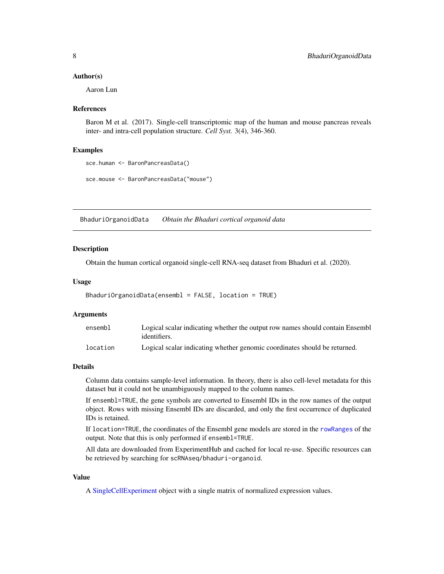#### <span id="page-7-0"></span>Author(s)

Aaron Lun

#### References

Baron M et al. (2017). Single-cell transcriptomic map of the human and mouse pancreas reveals inter- and intra-cell population structure. *Cell Syst.* 3(4), 346-360.

#### Examples

```
sce.human <- BaronPancreasData()
```

```
sce.mouse <- BaronPancreasData("mouse")
```
BhaduriOrganoidData *Obtain the Bhaduri cortical organoid data*

#### Description

Obtain the human cortical organoid single-cell RNA-seq dataset from Bhaduri et al. (2020).

#### Usage

```
BhaduriOrganoidData(ensembl = FALSE, location = TRUE)
```
#### Arguments

| ensembl  | Logical scalar indicating whether the output row names should contain Ensembl<br>identifiers. |
|----------|-----------------------------------------------------------------------------------------------|
| location | Logical scalar indicating whether genomic coordinates should be returned.                     |

#### Details

Column data contains sample-level information. In theory, there is also cell-level metadata for this dataset but it could not be unambiguously mapped to the column names.

If ensembl=TRUE, the gene symbols are converted to Ensembl IDs in the row names of the output object. Rows with missing Ensembl IDs are discarded, and only the first occurrence of duplicated IDs is retained.

If location=TRUE, the coordinates of the Ensembl gene models are stored in the [rowRanges](#page-0-0) of the output. Note that this is only performed if ensembl=TRUE.

All data are downloaded from ExperimentHub and cached for local re-use. Specific resources can be retrieved by searching for scRNAseq/bhaduri-organoid.

#### Value

A [SingleCellExperiment](#page-0-0) object with a single matrix of normalized expression values.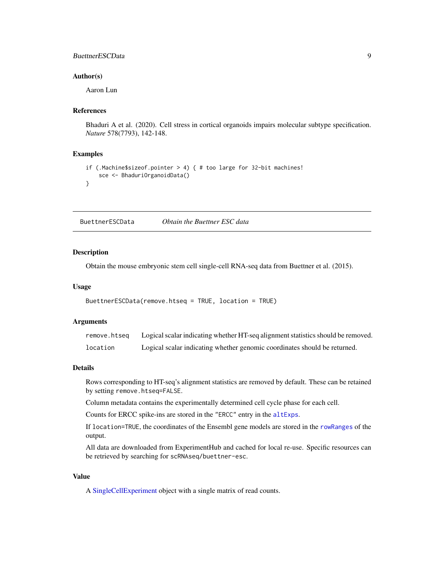#### <span id="page-8-0"></span>BuettnerESCData 9

#### Author(s)

Aaron Lun

#### References

Bhaduri A et al. (2020). Cell stress in cortical organoids impairs molecular subtype specification. *Nature* 578(7793), 142-148.

#### Examples

```
if (.Machine$sizeof.pointer > 4) { # too large for 32-bit machines!
   sce <- BhaduriOrganoidData()
}
```
BuettnerESCData *Obtain the Buettner ESC data*

#### **Description**

Obtain the mouse embryonic stem cell single-cell RNA-seq data from Buettner et al. (2015).

#### Usage

```
BuettnerESCData(remove.htseq = TRUE, location = TRUE)
```
#### Arguments

| remove.htsea | Logical scalar indicating whether HT-seq alignment statistics should be removed. |
|--------------|----------------------------------------------------------------------------------|
| location     | Logical scalar indicating whether genomic coordinates should be returned.        |

#### Details

Rows corresponding to HT-seq's alignment statistics are removed by default. These can be retained by setting remove.htseq=FALSE.

Column metadata contains the experimentally determined cell cycle phase for each cell.

Counts for ERCC spike-ins are stored in the "ERCC" entry in the [altExps](#page-0-0).

If location=TRUE, the coordinates of the Ensembl gene models are stored in the [rowRanges](#page-0-0) of the output.

All data are downloaded from ExperimentHub and cached for local re-use. Specific resources can be retrieved by searching for scRNAseq/buettner-esc.

#### Value

A [SingleCellExperiment](#page-0-0) object with a single matrix of read counts.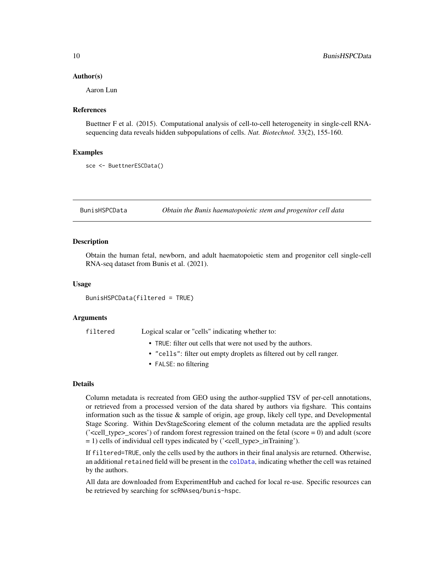#### <span id="page-9-0"></span>Author(s)

Aaron Lun

#### References

Buettner F et al. (2015). Computational analysis of cell-to-cell heterogeneity in single-cell RNAsequencing data reveals hidden subpopulations of cells. *Nat. Biotechnol.* 33(2), 155-160.

#### Examples

```
sce <- BuettnerESCData()
```
BunisHSPCData *Obtain the Bunis haematopoietic stem and progenitor cell data*

#### Description

Obtain the human fetal, newborn, and adult haematopoietic stem and progenitor cell single-cell RNA-seq dataset from Bunis et al. (2021).

#### Usage

BunisHSPCData(filtered = TRUE)

#### Arguments

filtered Logical scalar or "cells" indicating whether to:

- TRUE: filter out cells that were not used by the authors.
- "cells": filter out empty droplets as filtered out by cell ranger.
- FALSE: no filtering

#### Details

Column metadata is recreated from GEO using the author-supplied TSV of per-cell annotations, or retrieved from a processed version of the data shared by authors via figshare. This contains information such as the tissue  $\&$  sample of origin, age group, likely cell type, and Developmental Stage Scoring. Within DevStageScoring element of the column metadata are the applied results  $('ccell_type>_scores')$  of random forest regression trained on the fetal (score  $= 0$ ) and adult (score = 1) cells of individual cell types indicated by ('<cell\_type>\_inTraining').

If filtered=TRUE, only the cells used by the authors in their final analysis are returned. Otherwise, an additional retained field will be present in the [colData](#page-0-0), indicating whether the cell was retained by the authors.

All data are downloaded from ExperimentHub and cached for local re-use. Specific resources can be retrieved by searching for scRNAseq/bunis-hspc.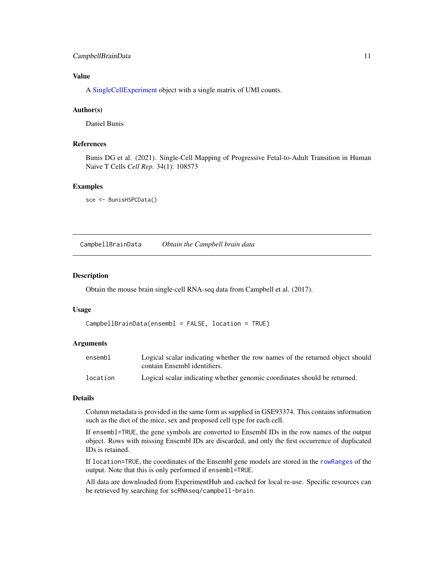#### <span id="page-10-0"></span>CampbellBrainData 11

#### Value

A [SingleCellExperiment](#page-0-0) object with a single matrix of UMI counts.

#### Author(s)

Daniel Bunis

#### References

Bunis DG et al. (2021). Single-Cell Mapping of Progressive Fetal-to-Adult Transition in Human Naive T Cells *Cell Rep.* 34(1): 108573

#### Examples

```
sce <- BunisHSPCData()
```
CampbellBrainData *Obtain the Campbell brain data*

#### Description

Obtain the mouse brain single-cell RNA-seq data from Campbell et al. (2017).

#### Usage

CampbellBrainData(ensembl = FALSE, location = TRUE)

#### **Arguments**

| ensembl  | Logical scalar indicating whether the row names of the returned object should |
|----------|-------------------------------------------------------------------------------|
|          | contain Ensembl identifiers.                                                  |
| location | Logical scalar indicating whether genomic coordinates should be returned.     |

#### Details

Column metadata is provided in the same form as supplied in GSE93374. This contains information such as the diet of the mice, sex and proposed cell type for each cell.

If ensembl=TRUE, the gene symbols are converted to Ensembl IDs in the row names of the output object. Rows with missing Ensembl IDs are discarded, and only the first occurrence of duplicated IDs is retained.

If location=TRUE, the coordinates of the Ensembl gene models are stored in the [rowRanges](#page-0-0) of the output. Note that this is only performed if ensembl=TRUE.

All data are downloaded from ExperimentHub and cached for local re-use. Specific resources can be retrieved by searching for scRNAseq/campbell-brain.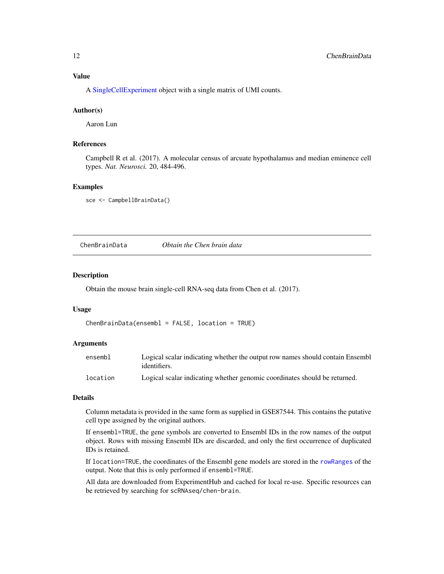<span id="page-11-0"></span>A [SingleCellExperiment](#page-0-0) object with a single matrix of UMI counts.

#### Author(s)

Aaron Lun

#### References

Campbell R et al. (2017). A molecular census of arcuate hypothalamus and median eminence cell types. *Nat. Neurosci.* 20, 484-496.

#### Examples

sce <- CampbellBrainData()

ChenBrainData *Obtain the Chen brain data*

#### Description

Obtain the mouse brain single-cell RNA-seq data from Chen et al. (2017).

#### Usage

```
ChenBrainData(ensembl = FALSE, location = TRUE)
```
#### Arguments

| ensembl  | Logical scalar indicating whether the output row names should contain Ensemble<br>identifiers. |
|----------|------------------------------------------------------------------------------------------------|
| location | Logical scalar indicating whether genomic coordinates should be returned.                      |

#### Details

Column metadata is provided in the same form as supplied in GSE87544. This contains the putative cell type assigned by the original authors.

If ensembl=TRUE, the gene symbols are converted to Ensembl IDs in the row names of the output object. Rows with missing Ensembl IDs are discarded, and only the first occurrence of duplicated IDs is retained.

If location=TRUE, the coordinates of the Ensembl gene models are stored in the [rowRanges](#page-0-0) of the output. Note that this is only performed if ensembl=TRUE.

All data are downloaded from ExperimentHub and cached for local re-use. Specific resources can be retrieved by searching for scRNAseq/chen-brain.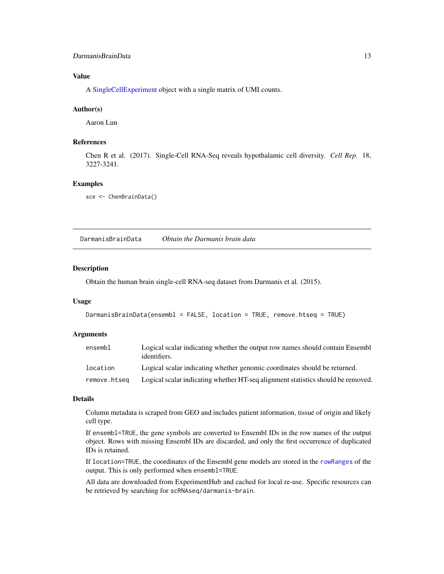#### <span id="page-12-0"></span>DarmanisBrainData 13

#### Value

A [SingleCellExperiment](#page-0-0) object with a single matrix of UMI counts.

#### Author(s)

Aaron Lun

#### References

Chen R et al. (2017). Single-Cell RNA-Seq reveals hypothalamic cell diversity. *Cell Rep.* 18, 3227-3241.

#### Examples

sce <- ChenBrainData()

DarmanisBrainData *Obtain the Darmanis brain data*

#### Description

Obtain the human brain single-cell RNA-seq dataset from Darmanis et al. (2015).

#### Usage

```
DarmanisBrainData(ensembl = FALSE, location = TRUE, remove.htseq = TRUE)
```
#### Arguments

| ensembl      | Logical scalar indicating whether the output row names should contain Ensembl<br>identifiers. |
|--------------|-----------------------------------------------------------------------------------------------|
| location     | Logical scalar indicating whether genomic coordinates should be returned.                     |
| remove.htseg | Logical scalar indicating whether HT-seq alignment statistics should be removed.              |

#### Details

Column metadata is scraped from GEO and includes patient information, tissue of origin and likely cell type.

If ensembl=TRUE, the gene symbols are converted to Ensembl IDs in the row names of the output object. Rows with missing Ensembl IDs are discarded, and only the first occurrence of duplicated IDs is retained.

If location=TRUE, the coordinates of the Ensembl gene models are stored in the [rowRanges](#page-0-0) of the output. This is only performed when ensembl=TRUE.

All data are downloaded from ExperimentHub and cached for local re-use. Specific resources can be retrieved by searching for scRNAseq/darmanis-brain.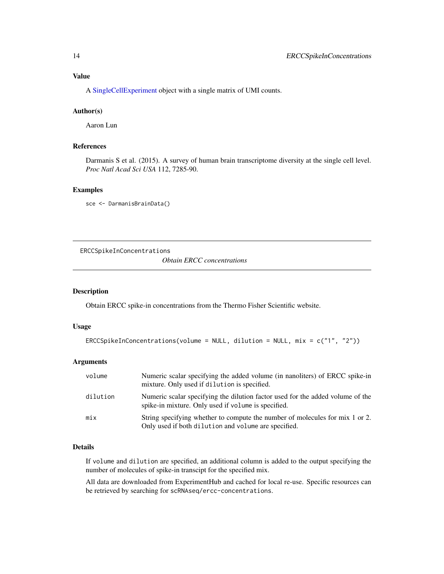#### <span id="page-13-0"></span>Value

A [SingleCellExperiment](#page-0-0) object with a single matrix of UMI counts.

#### Author(s)

Aaron Lun

#### References

Darmanis S et al. (2015). A survey of human brain transcriptome diversity at the single cell level. *Proc Natl Acad Sci USA* 112, 7285-90.

#### Examples

```
sce <- DarmanisBrainData()
```
<span id="page-13-1"></span>ERCCSpikeInConcentrations *Obtain ERCC concentrations*

#### Description

Obtain ERCC spike-in concentrations from the Thermo Fisher Scientific website.

#### Usage

```
ERCCSpikeInConcentrations(volume = NULL, dilution = NULL, mix = c("1", "2"))
```
#### Arguments

| volume   | Numeric scalar specifying the added volume (in nanoliters) of ERCC spike-in<br>mixture. Only used if dilution is specified.           |
|----------|---------------------------------------------------------------------------------------------------------------------------------------|
| dilution | Numeric scalar specifying the dilution factor used for the added volume of the<br>spike-in mixture. Only used if volume is specified. |
| mix      | String specifying whether to compute the number of molecules for mix 1 or 2.<br>Only used if both dilution and volume are specified.  |

### Details

If volume and dilution are specified, an additional column is added to the output specifying the number of molecules of spike-in transcipt for the specified mix.

All data are downloaded from ExperimentHub and cached for local re-use. Specific resources can be retrieved by searching for scRNAseq/ercc-concentrations.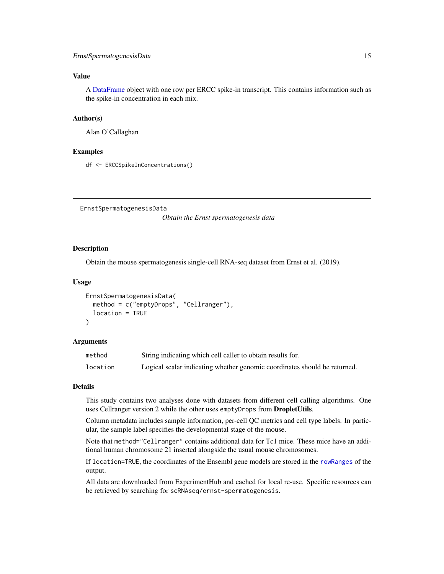#### <span id="page-14-0"></span>Value

A [DataFrame](#page-0-0) object with one row per ERCC spike-in transcript. This contains information such as the spike-in concentration in each mix.

#### Author(s)

Alan O'Callaghan

#### Examples

df <- ERCCSpikeInConcentrations()

ErnstSpermatogenesisData

*Obtain the Ernst spermatogenesis data*

#### Description

Obtain the mouse spermatogenesis single-cell RNA-seq dataset from Ernst et al. (2019).

#### Usage

```
ErnstSpermatogenesisData(
  method = c("emptyDrops", "Cellranger"),
  location = TRUE
)
```
#### Arguments

| method   | String indicating which cell caller to obtain results for.                |
|----------|---------------------------------------------------------------------------|
| location | Logical scalar indicating whether genomic coordinates should be returned. |

#### Details

This study contains two analyses done with datasets from different cell calling algorithms. One uses Cellranger version 2 while the other uses emptyDrops from **DropletUtils**.

Column metadata includes sample information, per-cell QC metrics and cell type labels. In particular, the sample label specifies the developmental stage of the mouse.

Note that method="Cellranger" contains additional data for Tc1 mice. These mice have an additional human chromosome 21 inserted alongside the usual mouse chromosomes.

If location=TRUE, the coordinates of the Ensembl gene models are stored in the [rowRanges](#page-0-0) of the output.

All data are downloaded from ExperimentHub and cached for local re-use. Specific resources can be retrieved by searching for scRNAseq/ernst-spermatogenesis.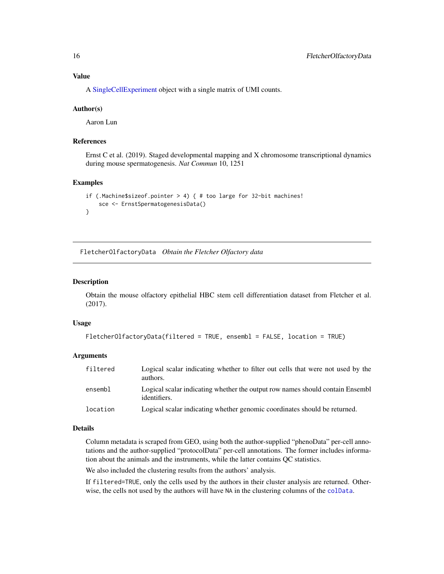<span id="page-15-0"></span>A [SingleCellExperiment](#page-0-0) object with a single matrix of UMI counts.

#### Author(s)

Aaron Lun

#### References

Ernst C et al. (2019). Staged developmental mapping and X chromosome transcriptional dynamics during mouse spermatogenesis. *Nat Commun* 10, 1251

#### Examples

```
if (.Machine$sizeof.pointer > 4) { # too large for 32-bit machines!
   sce <- ErnstSpermatogenesisData()
}
```
FletcherOlfactoryData *Obtain the Fletcher Olfactory data*

#### Description

Obtain the mouse olfactory epithelial HBC stem cell differentiation dataset from Fletcher et al. (2017).

#### Usage

```
FletcherOlfactoryData(filtered = TRUE, ensembl = FALSE, location = TRUE)
```
#### Arguments

| filtered | Logical scalar indicating whether to filter out cells that were not used by the<br>authors.   |
|----------|-----------------------------------------------------------------------------------------------|
| ensembl  | Logical scalar indicating whether the output row names should contain Ensembl<br>identifiers. |
| location | Logical scalar indicating whether genomic coordinates should be returned.                     |

#### Details

Column metadata is scraped from GEO, using both the author-supplied "phenoData" per-cell annotations and the author-supplied "protocolData" per-cell annotations. The former includes information about the animals and the instruments, while the latter contains QC statistics.

We also included the clustering results from the authors' analysis.

If filtered=TRUE, only the cells used by the authors in their cluster analysis are returned. Otherwise, the cells not used by the authors will have NA in the clustering columns of the [colData](#page-0-0).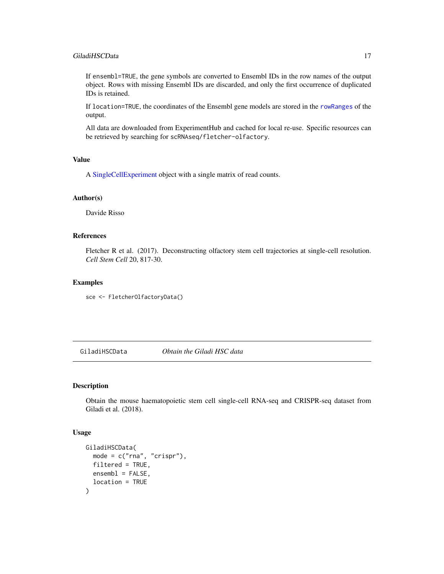#### <span id="page-16-0"></span>GiladiHSCData 17

If ensembl=TRUE, the gene symbols are converted to Ensembl IDs in the row names of the output object. Rows with missing Ensembl IDs are discarded, and only the first occurrence of duplicated IDs is retained.

If location=TRUE, the coordinates of the Ensembl gene models are stored in the [rowRanges](#page-0-0) of the output.

All data are downloaded from ExperimentHub and cached for local re-use. Specific resources can be retrieved by searching for scRNAseq/fletcher-olfactory.

#### Value

A [SingleCellExperiment](#page-0-0) object with a single matrix of read counts.

#### Author(s)

Davide Risso

#### References

Fletcher R et al. (2017). Deconstructing olfactory stem cell trajectories at single-cell resolution. *Cell Stem Cell* 20, 817-30.

#### Examples

sce <- FletcherOlfactoryData()

GiladiHSCData *Obtain the Giladi HSC data*

#### Description

Obtain the mouse haematopoietic stem cell single-cell RNA-seq and CRISPR-seq dataset from Giladi et al. (2018).

#### Usage

```
GiladiHSCData(
 mode = c("rna", "crispr"),filtered = TRUE,
 ensemble = FALSE,location = TRUE
)
```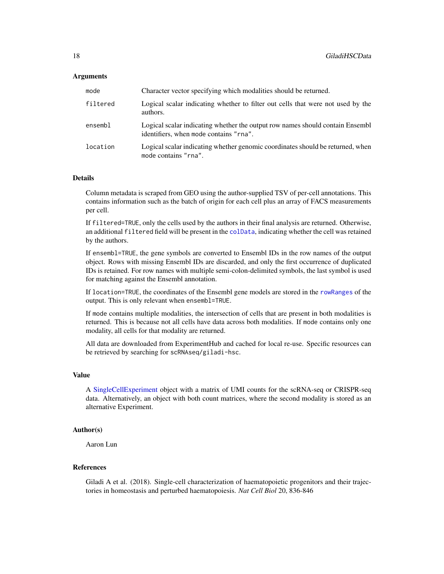#### <span id="page-17-0"></span>**Arguments**

| mode     | Character vector specifying which modalities should be returned.                                                        |
|----------|-------------------------------------------------------------------------------------------------------------------------|
| filtered | Logical scalar indicating whether to filter out cells that were not used by the<br>authors.                             |
| ensembl  | Logical scalar indicating whether the output row names should contain Ensembl<br>identifiers, when mode contains "rna". |
| location | Logical scalar indicating whether genomic coordinates should be returned, when<br>mode contains "rna".                  |

#### Details

Column metadata is scraped from GEO using the author-supplied TSV of per-cell annotations. This contains information such as the batch of origin for each cell plus an array of FACS measurements per cell.

If filtered=TRUE, only the cells used by the authors in their final analysis are returned. Otherwise, an additional filtered field will be present in the [colData](#page-0-0), indicating whether the cell was retained by the authors.

If ensembl=TRUE, the gene symbols are converted to Ensembl IDs in the row names of the output object. Rows with missing Ensembl IDs are discarded, and only the first occurrence of duplicated IDs is retained. For row names with multiple semi-colon-delimited symbols, the last symbol is used for matching against the Ensembl annotation.

If location=TRUE, the coordinates of the Ensembl gene models are stored in the [rowRanges](#page-0-0) of the output. This is only relevant when ensembl=TRUE.

If mode contains multiple modalities, the intersection of cells that are present in both modalities is returned. This is because not all cells have data across both modalities. If mode contains only one modality, all cells for that modality are returned.

All data are downloaded from ExperimentHub and cached for local re-use. Specific resources can be retrieved by searching for scRNAseq/giladi-hsc.

#### Value

A [SingleCellExperiment](#page-0-0) object with a matrix of UMI counts for the scRNA-seq or CRISPR-seq data. Alternatively, an object with both count matrices, where the second modality is stored as an alternative Experiment.

#### Author(s)

Aaron Lun

#### References

Giladi A et al. (2018). Single-cell characterization of haematopoietic progenitors and their trajectories in homeostasis and perturbed haematopoiesis. *Nat Cell Biol* 20, 836-846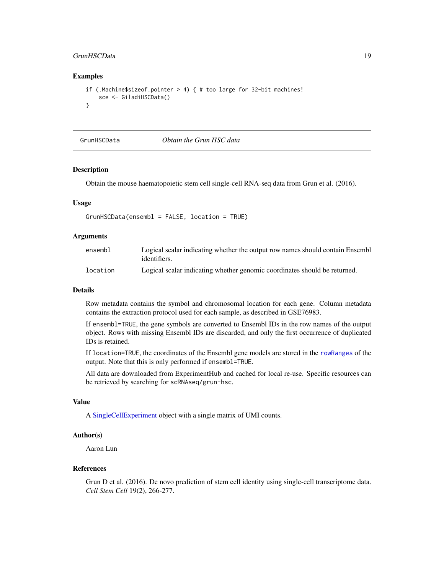#### <span id="page-18-0"></span>GrunHSCData 19

#### Examples

```
if (.Machine$sizeof.pointer > 4) { # too large for 32-bit machines!
   sce <- GiladiHSCData()
}
```
GrunHSCData *Obtain the Grun HSC data*

## Description

Obtain the mouse haematopoietic stem cell single-cell RNA-seq data from Grun et al. (2016).

#### Usage

```
GrunHSCData(ensembl = FALSE, location = TRUE)
```
#### Arguments

| ensembl  | Logical scalar indicating whether the output row names should contain Ensemble<br>identifiers. |
|----------|------------------------------------------------------------------------------------------------|
| location | Logical scalar indicating whether genomic coordinates should be returned.                      |

#### Details

Row metadata contains the symbol and chromosomal location for each gene. Column metadata contains the extraction protocol used for each sample, as described in GSE76983.

If ensembl=TRUE, the gene symbols are converted to Ensembl IDs in the row names of the output object. Rows with missing Ensembl IDs are discarded, and only the first occurrence of duplicated IDs is retained.

If location=TRUE, the coordinates of the Ensembl gene models are stored in the [rowRanges](#page-0-0) of the output. Note that this is only performed if ensembl=TRUE.

All data are downloaded from ExperimentHub and cached for local re-use. Specific resources can be retrieved by searching for scRNAseq/grun-hsc.

#### Value

A [SingleCellExperiment](#page-0-0) object with a single matrix of UMI counts.

#### Author(s)

Aaron Lun

#### References

Grun D et al. (2016). De novo prediction of stem cell identity using single-cell transcriptome data. *Cell Stem Cell* 19(2), 266-277.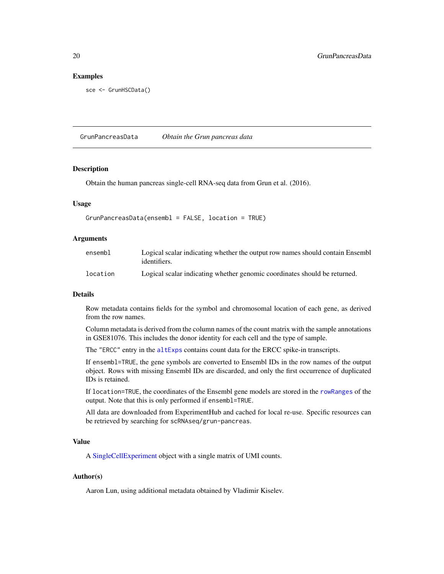#### Examples

sce <- GrunHSCData()

GrunPancreasData *Obtain the Grun pancreas data*

#### **Description**

Obtain the human pancreas single-cell RNA-seq data from Grun et al. (2016).

#### Usage

```
GrunPancreasData(ensembl = FALSE, location = TRUE)
```
#### Arguments

| ensembl  | Logical scalar indicating whether the output row names should contain Ensembl<br>identifiers. |
|----------|-----------------------------------------------------------------------------------------------|
| location | Logical scalar indicating whether genomic coordinates should be returned.                     |

#### Details

Row metadata contains fields for the symbol and chromosomal location of each gene, as derived from the row names.

Column metadata is derived from the column names of the count matrix with the sample annotations in GSE81076. This includes the donor identity for each cell and the type of sample.

The "ERCC" entry in the [altExps](#page-0-0) contains count data for the ERCC spike-in transcripts.

If ensembl=TRUE, the gene symbols are converted to Ensembl IDs in the row names of the output object. Rows with missing Ensembl IDs are discarded, and only the first occurrence of duplicated IDs is retained.

If location=TRUE, the coordinates of the Ensembl gene models are stored in the [rowRanges](#page-0-0) of the output. Note that this is only performed if ensembl=TRUE.

All data are downloaded from ExperimentHub and cached for local re-use. Specific resources can be retrieved by searching for scRNAseq/grun-pancreas.

#### Value

A [SingleCellExperiment](#page-0-0) object with a single matrix of UMI counts.

#### Author(s)

Aaron Lun, using additional metadata obtained by Vladimir Kiselev.

<span id="page-19-0"></span>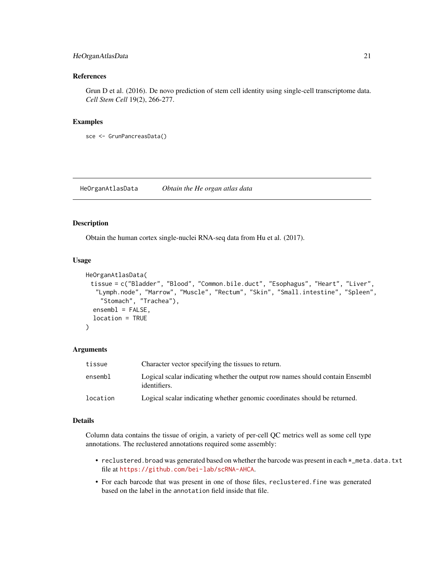#### <span id="page-20-0"></span>HeOrganAtlasData 21

#### References

Grun D et al. (2016). De novo prediction of stem cell identity using single-cell transcriptome data. *Cell Stem Cell* 19(2), 266-277.

#### Examples

sce <- GrunPancreasData()

HeOrganAtlasData *Obtain the He organ atlas data*

#### Description

Obtain the human cortex single-nuclei RNA-seq data from Hu et al. (2017).

#### Usage

```
HeOrganAtlasData(
 tissue = c("Bladder", "Blood", "Common.bile.duct", "Esophagus", "Heart", "Liver",
  "Lymph.node", "Marrow", "Muscle", "Rectum", "Skin", "Small.intestine", "Spleen",
    "Stomach", "Trachea"),
  ensemb1 = FALSE,location = TRUE
)
```
#### Arguments

| tissue   | Character vector specifying the tissues to return.                                            |
|----------|-----------------------------------------------------------------------------------------------|
| ensembl  | Logical scalar indicating whether the output row names should contain Ensembl<br>identifiers. |
| location | Logical scalar indicating whether genomic coordinates should be returned.                     |

#### Details

Column data contains the tissue of origin, a variety of per-cell QC metrics well as some cell type annotations. The reclustered annotations required some assembly:

- reclustered.broad was generated based on whether the barcode was present in each  $*$ \_meta.data.txt file at <https://github.com/bei-lab/scRNA-AHCA>.
- For each barcode that was present in one of those files, reclustered.fine was generated based on the label in the annotation field inside that file.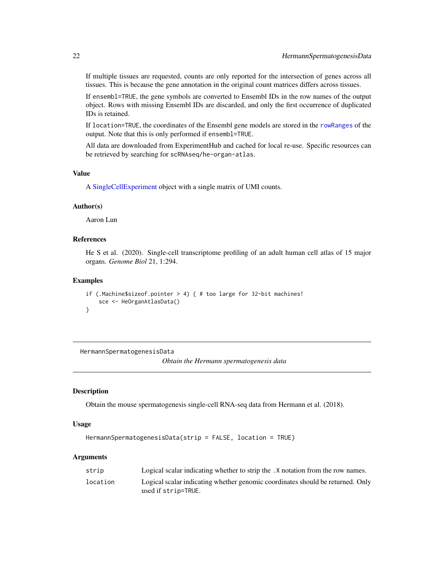<span id="page-21-0"></span>If multiple tissues are requested, counts are only reported for the intersection of genes across all tissues. This is because the gene annotation in the original count matrices differs across tissues.

If ensembl=TRUE, the gene symbols are converted to Ensembl IDs in the row names of the output object. Rows with missing Ensembl IDs are discarded, and only the first occurrence of duplicated IDs is retained.

If location=TRUE, the coordinates of the Ensembl gene models are stored in the [rowRanges](#page-0-0) of the output. Note that this is only performed if ensembl=TRUE.

All data are downloaded from ExperimentHub and cached for local re-use. Specific resources can be retrieved by searching for scRNAseq/he-organ-atlas.

#### Value

A [SingleCellExperiment](#page-0-0) object with a single matrix of UMI counts.

#### Author(s)

Aaron Lun

#### References

He S et al. (2020). Single-cell transcriptome profiling of an adult human cell atlas of 15 major organs. *Genome Biol* 21, 1:294.

#### Examples

```
if (.Machine$sizeof.pointer > 4) { # too large for 32-bit machines!
    sce <- HeOrganAtlasData()
}
```
HermannSpermatogenesisData

*Obtain the Hermann spermatogenesis data*

#### **Description**

Obtain the mouse spermatogenesis single-cell RNA-seq data from Hermann et al. (2018).

#### Usage

```
HermannSpermatogenesisData(strip = FALSE, location = TRUE)
```
#### Arguments

| strip    | Logical scalar indicating whether to strip the . X notation from the row names.                       |
|----------|-------------------------------------------------------------------------------------------------------|
| location | Logical scalar indicating whether genomic coordinates should be returned. Only<br>used if strip=TRUE. |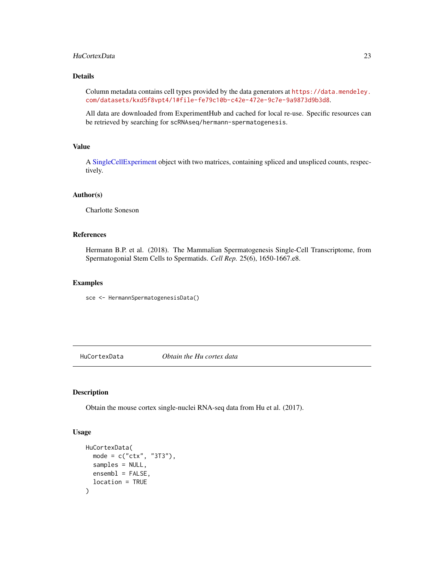#### <span id="page-22-0"></span>HuCortexData 23

#### Details

Column metadata contains cell types provided by the data generators at [https://data.mendeley.](https://data.mendeley.com/datasets/kxd5f8vpt4/1#file-fe79c10b-c42e-472e-9c7e-9a9873d9b3d8) [com/datasets/kxd5f8vpt4/1#file-fe79c10b-c42e-472e-9c7e-9a9873d9b3d8](https://data.mendeley.com/datasets/kxd5f8vpt4/1#file-fe79c10b-c42e-472e-9c7e-9a9873d9b3d8).

All data are downloaded from ExperimentHub and cached for local re-use. Specific resources can be retrieved by searching for scRNAseq/hermann-spermatogenesis.

#### Value

A [SingleCellExperiment](#page-0-0) object with two matrices, containing spliced and unspliced counts, respectively.

#### Author(s)

Charlotte Soneson

### References

Hermann B.P. et al. (2018). The Mammalian Spermatogenesis Single-Cell Transcriptome, from Spermatogonial Stem Cells to Spermatids. *Cell Rep.* 25(6), 1650-1667.e8.

#### Examples

sce <- HermannSpermatogenesisData()

HuCortexData *Obtain the Hu cortex data*

#### Description

Obtain the mouse cortex single-nuclei RNA-seq data from Hu et al. (2017).

#### Usage

```
HuCortexData(
 mode = c("ctx", "3T3"),
  samples = NULL,
 ensemble = FALSE,location = TRUE
)
```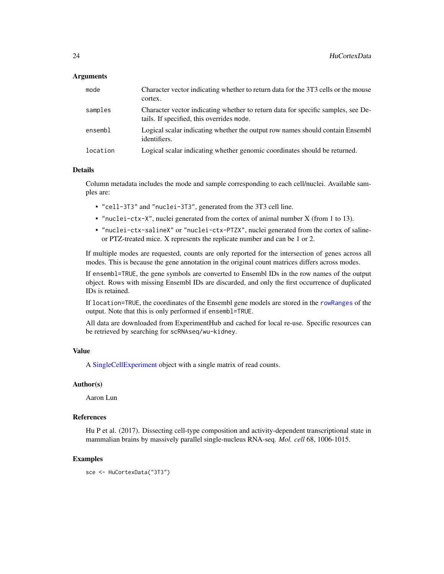#### <span id="page-23-0"></span>Arguments

| mode     | Character vector indicating whether to return data for the 3T3 cells or the mouse<br>cortex.                                  |
|----------|-------------------------------------------------------------------------------------------------------------------------------|
| samples  | Character vector indicating whether to return data for specific samples, see De-<br>tails. If specified, this overrides mode. |
| ensembl  | Logical scalar indicating whether the output row names should contain Ensembl<br>identifiers.                                 |
| location | Logical scalar indicating whether genomic coordinates should be returned.                                                     |

#### Details

Column metadata includes the mode and sample corresponding to each cell/nuclei. Available samples are:

- "cell-3T3" and "nuclei-3T3", generated from the 3T3 cell line.
- "nuclei-ctx-X", nuclei generated from the cortex of animal number X (from 1 to 13).
- "nuclei-ctx-salineX" or "nuclei-ctx-PTZX", nuclei generated from the cortex of salineor PTZ-treated mice. X represents the replicate number and can be 1 or 2.

If multiple modes are requested, counts are only reported for the intersection of genes across all modes. This is because the gene annotation in the original count matrices differs across modes.

If ensembl=TRUE, the gene symbols are converted to Ensembl IDs in the row names of the output object. Rows with missing Ensembl IDs are discarded, and only the first occurrence of duplicated IDs is retained.

If location=TRUE, the coordinates of the Ensembl gene models are stored in the [rowRanges](#page-0-0) of the output. Note that this is only performed if ensembl=TRUE.

All data are downloaded from ExperimentHub and cached for local re-use. Specific resources can be retrieved by searching for scRNAseq/wu-kidney.

#### Value

A [SingleCellExperiment](#page-0-0) object with a single matrix of read counts.

#### Author(s)

Aaron Lun

#### References

Hu P et al. (2017). Dissecting cell-type composition and activity-dependent transcriptional state in mammalian brains by massively parallel single-nucleus RNA-seq. *Mol. cell* 68, 1006-1015.

#### Examples

sce <- HuCortexData("3T3")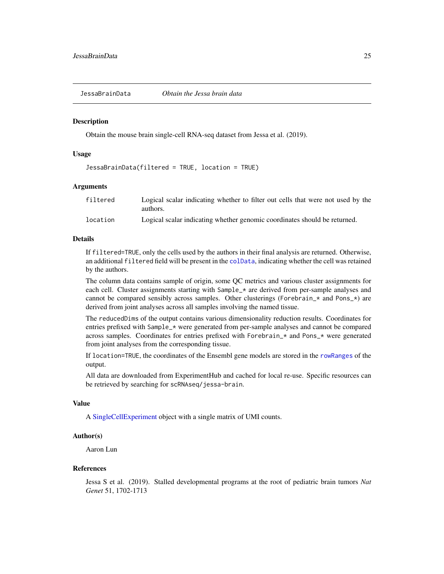<span id="page-24-0"></span>JessaBrainData *Obtain the Jessa brain data*

#### **Description**

Obtain the mouse brain single-cell RNA-seq dataset from Jessa et al. (2019).

#### Usage

JessaBrainData(filtered = TRUE, location = TRUE)

#### Arguments

| filtered | Logical scalar indicating whether to filter out cells that were not used by the |
|----------|---------------------------------------------------------------------------------|
|          | authors.                                                                        |
| location | Logical scalar indicating whether genomic coordinates should be returned.       |

#### Details

If filtered=TRUE, only the cells used by the authors in their final analysis are returned. Otherwise, an additional filtered field will be present in the [colData](#page-0-0), indicating whether the cell was retained by the authors.

The column data contains sample of origin, some QC metrics and various cluster assignments for each cell. Cluster assignments starting with Sample\_\* are derived from per-sample analyses and cannot be compared sensibly across samples. Other clusterings (Forebrain\_ $*$  and Pons\_ $*)$  are derived from joint analyses across all samples involving the named tissue.

The reducedDims of the output contains various dimensionality reduction results. Coordinates for entries prefixed with Sample\_\* were generated from per-sample analyses and cannot be compared across samples. Coordinates for entries prefixed with Forebrain\_\* and Pons\_\* were generated from joint analyses from the corresponding tissue.

If location=TRUE, the coordinates of the Ensembl gene models are stored in the [rowRanges](#page-0-0) of the output.

All data are downloaded from ExperimentHub and cached for local re-use. Specific resources can be retrieved by searching for scRNAseq/jessa-brain.

#### Value

A [SingleCellExperiment](#page-0-0) object with a single matrix of UMI counts.

#### Author(s)

Aaron Lun

#### References

Jessa S et al. (2019). Stalled developmental programs at the root of pediatric brain tumors *Nat Genet* 51, 1702-1713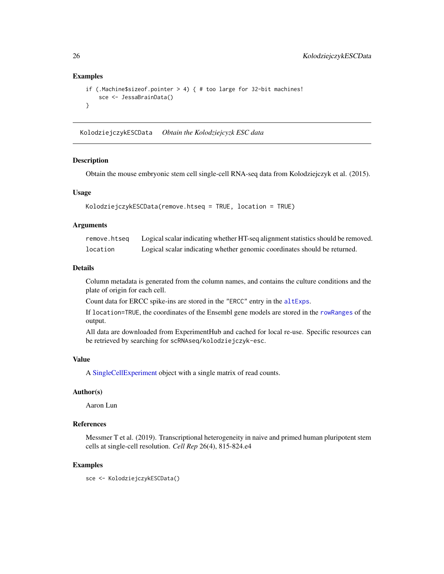#### Examples

```
if (.Machine$sizeof.pointer > 4) { # too large for 32-bit machines!
    sce <- JessaBrainData()
}
```
KolodziejczykESCData *Obtain the Kolodziejcyzk ESC data*

#### **Description**

Obtain the mouse embryonic stem cell single-cell RNA-seq data from Kolodziejczyk et al. (2015).

#### Usage

```
KolodziejczykESCData(remove.htseq = TRUE, location = TRUE)
```
#### Arguments

| remove.htseq | Logical scalar indicating whether HT-seq alignment statistics should be removed. |
|--------------|----------------------------------------------------------------------------------|
| location     | Logical scalar indicating whether genomic coordinates should be returned.        |

#### Details

Column metadata is generated from the column names, and contains the culture conditions and the plate of origin for each cell.

Count data for ERCC spike-ins are stored in the "ERCC" entry in the [altExps](#page-0-0).

If location=TRUE, the coordinates of the Ensembl gene models are stored in the [rowRanges](#page-0-0) of the output.

All data are downloaded from ExperimentHub and cached for local re-use. Specific resources can be retrieved by searching for scRNAseq/kolodziejczyk-esc.

#### Value

A [SingleCellExperiment](#page-0-0) object with a single matrix of read counts.

#### Author(s)

Aaron Lun

#### References

Messmer T et al. (2019). Transcriptional heterogeneity in naive and primed human pluripotent stem cells at single-cell resolution. *Cell Rep* 26(4), 815-824.e4

#### Examples

sce <- KolodziejczykESCData()

<span id="page-25-0"></span>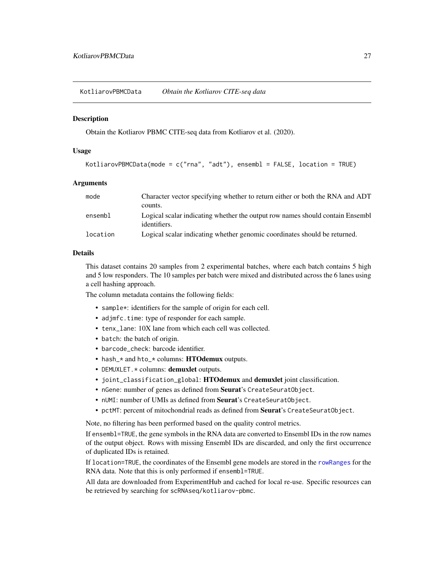<span id="page-26-0"></span>KotliarovPBMCData *Obtain the Kotliarov CITE-seq data*

#### **Description**

Obtain the Kotliarov PBMC CITE-seq data from Kotliarov et al. (2020).

#### Usage

```
KotliarovPBMCData(mode = c("rna", "adt"), ensembl = FALSE, location = TRUE)
```
#### Arguments

| mode     | Character vector specifying whether to return either or both the RNA and ADT<br>counts.       |
|----------|-----------------------------------------------------------------------------------------------|
| ensembl  | Logical scalar indicating whether the output row names should contain Ensembl<br>identifiers. |
| location | Logical scalar indicating whether genomic coordinates should be returned.                     |

#### Details

This dataset contains 20 samples from 2 experimental batches, where each batch contains 5 high and 5 low responders. The 10 samples per batch were mixed and distributed across the 6 lanes using a cell hashing approach.

The column metadata contains the following fields:

- sample<sup>\*</sup>: identifiers for the sample of origin for each cell.
- adjmfc.time: type of responder for each sample.
- tenx\_lane: 10X lane from which each cell was collected.
- batch: the batch of origin.
- barcode\_check: barcode identifier.
- hash\_\* and hto\_\* columns: HTOdemux outputs.
- DEMUXLET.\* columns: demuxlet outputs.
- joint\_classification\_global: HTOdemux and demuxlet joint classification.
- nGene: number of genes as defined from Seurat's CreateSeuratObject.
- nUMI: number of UMIs as defined from Seurat's CreateSeuratObject.
- pctMT: percent of mitochondrial reads as defined from Seurat's CreateSeuratObject.

Note, no filtering has been performed based on the quality control metrics.

If ensembl=TRUE, the gene symbols in the RNA data are converted to Ensembl IDs in the row names of the output object. Rows with missing Ensembl IDs are discarded, and only the first occurrence of duplicated IDs is retained.

If location=TRUE, the coordinates of the Ensembl gene models are stored in the [rowRanges](#page-0-0) for the RNA data. Note that this is only performed if ensembl=TRUE.

All data are downloaded from ExperimentHub and cached for local re-use. Specific resources can be retrieved by searching for scRNAseq/kotliarov-pbmc.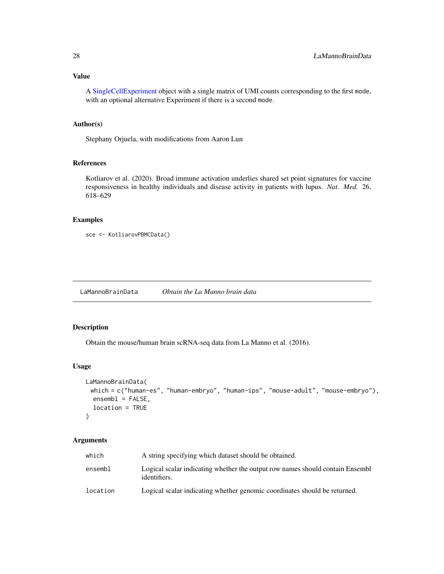#### <span id="page-27-0"></span>Value

A [SingleCellExperiment](#page-0-0) object with a single matrix of UMI counts corresponding to the first mode, with an optional alternative Experiment if there is a second mode.

#### Author(s)

Stephany Orjuela, with modifications from Aaron Lun

#### References

Kotliarov et al. (2020). Broad immune activation underlies shared set point signatures for vaccine responsiveness in healthy individuals and disease activity in patients with lupus. *Nat. Med.* 26, 618–629

#### Examples

```
sce <- KotliarovPBMCData()
```
LaMannoBrainData *Obtain the La Manno brain data*

#### Description

Obtain the mouse/human brain scRNA-seq data from La Manno et al. (2016).

#### Usage

```
LaMannoBrainData(
 which = c("human-es", "human-embryo", "human-ips", "mouse-adult", "mouse-embryo"),
 ensemb1 = FALSE,location = TRUE
\mathcal{L}
```
#### Arguments

| which    | A string specifying which dataset should be obtained.                                         |
|----------|-----------------------------------------------------------------------------------------------|
| ensembl  | Logical scalar indicating whether the output row names should contain Ensembl<br>identifiers. |
| location | Logical scalar indicating whether genomic coordinates should be returned.                     |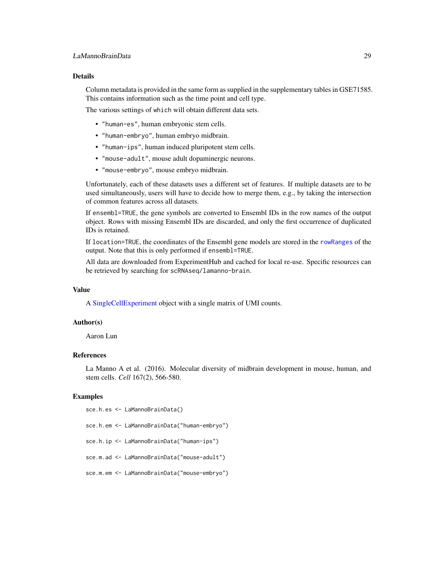#### <span id="page-28-0"></span>Details

Column metadata is provided in the same form as supplied in the supplementary tables in GSE71585. This contains information such as the time point and cell type.

The various settings of which will obtain different data sets.

- "human-es", human embryonic stem cells.
- "human-embryo", human embryo midbrain.
- "human-ips", human induced pluripotent stem cells.
- "mouse-adult", mouse adult dopaminergic neurons.
- "mouse-embryo", mouse embryo midbrain.

Unfortunately, each of these datasets uses a different set of features. If multiple datasets are to be used simultaneously, users will have to decide how to merge them, e.g., by taking the intersection of common features across all datasets.

If ensembl=TRUE, the gene symbols are converted to Ensembl IDs in the row names of the output object. Rows with missing Ensembl IDs are discarded, and only the first occurrence of duplicated IDs is retained.

If location=TRUE, the coordinates of the Ensembl gene models are stored in the [rowRanges](#page-0-0) of the output. Note that this is only performed if ensembl=TRUE.

All data are downloaded from ExperimentHub and cached for local re-use. Specific resources can be retrieved by searching for scRNAseq/lamanno-brain.

#### Value

A [SingleCellExperiment](#page-0-0) object with a single matrix of UMI counts.

#### Author(s)

Aaron Lun

#### References

La Manno A et al. (2016). Molecular diversity of midbrain development in mouse, human, and stem cells. *Cell* 167(2), 566-580.

#### Examples

```
sce.h.es <- LaMannoBrainData()
sce.h.em <- LaMannoBrainData("human-embryo")
sce.h.ip <- LaMannoBrainData("human-ips")
sce.m.ad <- LaMannoBrainData("mouse-adult")
sce.m.em <- LaMannoBrainData("mouse-embryo")
```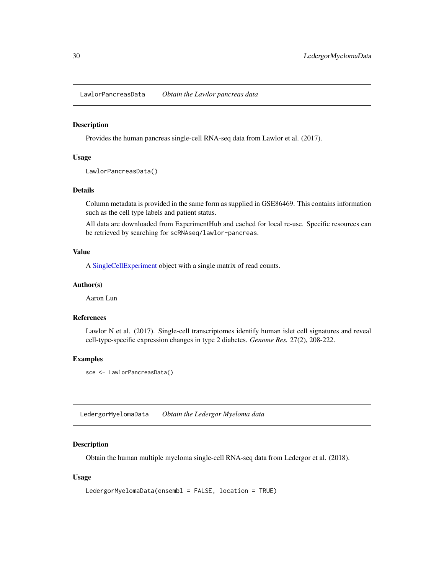<span id="page-29-0"></span>LawlorPancreasData *Obtain the Lawlor pancreas data*

#### Description

Provides the human pancreas single-cell RNA-seq data from Lawlor et al. (2017).

#### Usage

LawlorPancreasData()

#### Details

Column metadata is provided in the same form as supplied in GSE86469. This contains information such as the cell type labels and patient status.

All data are downloaded from ExperimentHub and cached for local re-use. Specific resources can be retrieved by searching for scRNAseq/lawlor-pancreas.

#### Value

A [SingleCellExperiment](#page-0-0) object with a single matrix of read counts.

#### Author(s)

Aaron Lun

#### References

Lawlor N et al. (2017). Single-cell transcriptomes identify human islet cell signatures and reveal cell-type-specific expression changes in type 2 diabetes. *Genome Res.* 27(2), 208-222.

#### Examples

```
sce <- LawlorPancreasData()
```
LedergorMyelomaData *Obtain the Ledergor Myeloma data*

#### Description

Obtain the human multiple myeloma single-cell RNA-seq data from Ledergor et al. (2018).

#### Usage

```
LedergorMyelomaData(ensembl = FALSE, location = TRUE)
```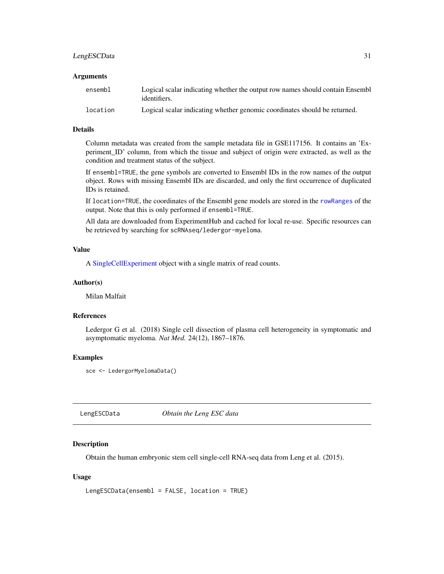### <span id="page-30-0"></span>LengESCData 31

#### **Arguments**

| ensembl  | Logical scalar indicating whether the output row names should contain Ensemble<br>identifiers. |
|----------|------------------------------------------------------------------------------------------------|
| location | Logical scalar indicating whether genomic coordinates should be returned.                      |

#### Details

Column metadata was created from the sample metadata file in GSE117156. It contains an 'Experiment\_ID' column, from which the tissue and subject of origin were extracted, as well as the condition and treatment status of the subject.

If ensembl=TRUE, the gene symbols are converted to Ensembl IDs in the row names of the output object. Rows with missing Ensembl IDs are discarded, and only the first occurrence of duplicated IDs is retained.

If location=TRUE, the coordinates of the Ensembl gene models are stored in the [rowRanges](#page-0-0) of the output. Note that this is only performed if ensembl=TRUE.

All data are downloaded from ExperimentHub and cached for local re-use. Specific resources can be retrieved by searching for scRNAseq/ledergor-myeloma.

#### Value

A [SingleCellExperiment](#page-0-0) object with a single matrix of read counts.

#### Author(s)

Milan Malfait

#### References

Ledergor G et al. (2018) Single cell dissection of plasma cell heterogeneity in symptomatic and asymptomatic myeloma. *Nat Med.* 24(12), 1867–1876.

#### Examples

sce <- LedergorMyelomaData()

LengESCData *Obtain the Leng ESC data*

#### Description

Obtain the human embryonic stem cell single-cell RNA-seq data from Leng et al. (2015).

#### Usage

```
LengESCData(ensembl = FALSE, location = TRUE)
```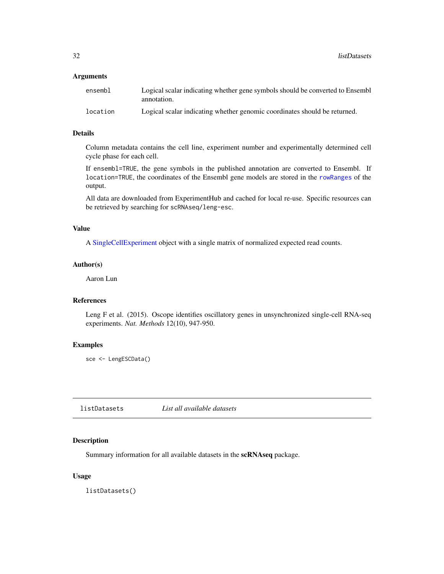#### <span id="page-31-0"></span>**Arguments**

| ensembl  | Logical scalar indicating whether gene symbols should be converted to Ensembl<br>annotation. |
|----------|----------------------------------------------------------------------------------------------|
| location | Logical scalar indicating whether genomic coordinates should be returned.                    |

#### Details

Column metadata contains the cell line, experiment number and experimentally determined cell cycle phase for each cell.

If ensembl=TRUE, the gene symbols in the published annotation are converted to Ensembl. If location=TRUE, the coordinates of the Ensembl gene models are stored in the [rowRanges](#page-0-0) of the output.

All data are downloaded from ExperimentHub and cached for local re-use. Specific resources can be retrieved by searching for scRNAseq/leng-esc.

#### Value

A [SingleCellExperiment](#page-0-0) object with a single matrix of normalized expected read counts.

#### Author(s)

Aaron Lun

#### References

Leng F et al. (2015). Oscope identifies oscillatory genes in unsynchronized single-cell RNA-seq experiments. *Nat. Methods* 12(10), 947-950.

#### Examples

```
sce <- LengESCData()
```
listDatasets *List all available datasets*

#### Description

Summary information for all available datasets in the scRNAseq package.

#### Usage

listDatasets()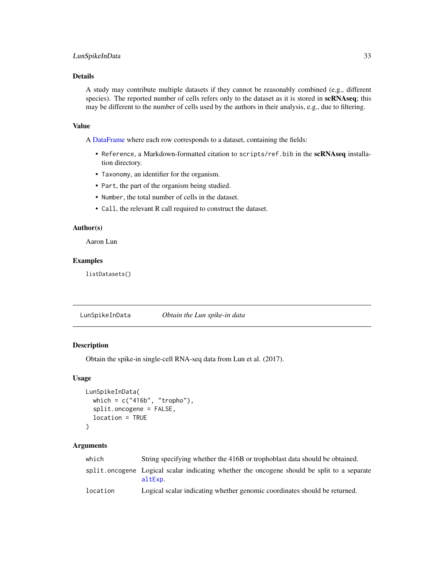#### <span id="page-32-0"></span>LunSpikeInData 33

#### Details

A study may contribute multiple datasets if they cannot be reasonably combined (e.g., different species). The reported number of cells refers only to the dataset as it is stored in scRNAseq; this may be different to the number of cells used by the authors in their analysis, e.g., due to filtering.

#### Value

A [DataFrame](#page-0-0) where each row corresponds to a dataset, containing the fields:

- Reference, a Markdown-formatted citation to scripts/ref.bib in the scRNAseq installation directory.
- Taxonomy, an identifier for the organism.
- Part, the part of the organism being studied.
- Number, the total number of cells in the dataset.
- Call, the relevant R call required to construct the dataset.

#### Author(s)

Aaron Lun

#### Examples

listDatasets()

LunSpikeInData *Obtain the Lun spike-in data*

#### Description

Obtain the spike-in single-cell RNA-seq data from Lun et al. (2017).

#### Usage

```
LunSpikeInData(
  which = c("416b", "tropho"),split.oncogene = FALSE,
  location = TRUE
)
```
#### Arguments

| which    | String specifying whether the 416B or trophoblast data should be obtained.                             |
|----------|--------------------------------------------------------------------------------------------------------|
|          | split oncogene Logical scalar indicating whether the oncogene should be split to a separate<br>altExp. |
| location | Logical scalar indicating whether genomic coordinates should be returned.                              |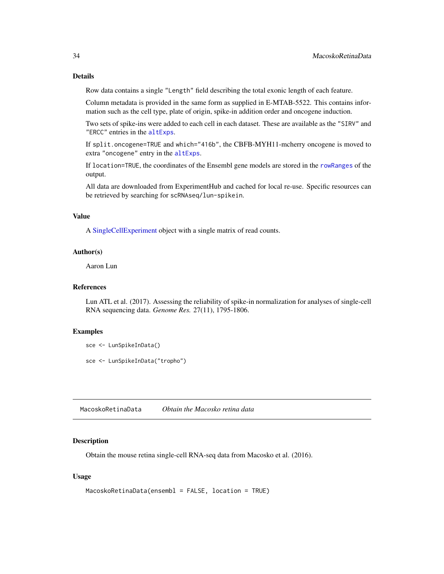<span id="page-33-0"></span>Row data contains a single "Length" field describing the total exonic length of each feature.

Column metadata is provided in the same form as supplied in E-MTAB-5522. This contains information such as the cell type, plate of origin, spike-in addition order and oncogene induction.

Two sets of spike-ins were added to each cell in each dataset. These are available as the "SIRV" and "ERCC" entries in the [altExps](#page-0-0).

If split.oncogene=TRUE and which="416b", the CBFB-MYH11-mcherry oncogene is moved to extra "oncogene" entry in the [altExps](#page-0-0).

If location=TRUE, the coordinates of the Ensembl gene models are stored in the [rowRanges](#page-0-0) of the output.

All data are downloaded from ExperimentHub and cached for local re-use. Specific resources can be retrieved by searching for scRNAseq/lun-spikein.

#### Value

A [SingleCellExperiment](#page-0-0) object with a single matrix of read counts.

#### Author(s)

Aaron Lun

#### References

Lun ATL et al. (2017). Assessing the reliability of spike-in normalization for analyses of single-cell RNA sequencing data. *Genome Res.* 27(11), 1795-1806.

#### Examples

sce <- LunSpikeInData()

sce <- LunSpikeInData("tropho")

MacoskoRetinaData *Obtain the Macosko retina data*

#### Description

Obtain the mouse retina single-cell RNA-seq data from Macosko et al. (2016).

#### Usage

```
MacoskoRetinaData(ensembl = FALSE, location = TRUE)
```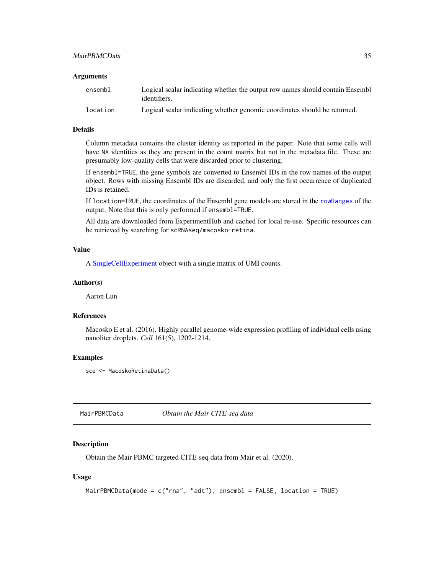#### <span id="page-34-0"></span>MairPBMCData 35

#### **Arguments**

| ensembl  | Logical scalar indicating whether the output row names should contain Ensemble<br>identifiers. |
|----------|------------------------------------------------------------------------------------------------|
| location | Logical scalar indicating whether genomic coordinates should be returned.                      |

#### Details

Column metadata contains the cluster identity as reported in the paper. Note that some cells will have NA identities as they are present in the count matrix but not in the metadata file. These are presumably low-quality cells that were discarded prior to clustering.

If ensembl=TRUE, the gene symbols are converted to Ensembl IDs in the row names of the output object. Rows with missing Ensembl IDs are discarded, and only the first occurrence of duplicated IDs is retained.

If location=TRUE, the coordinates of the Ensembl gene models are stored in the [rowRanges](#page-0-0) of the output. Note that this is only performed if ensembl=TRUE.

All data are downloaded from ExperimentHub and cached for local re-use. Specific resources can be retrieved by searching for scRNAseq/macosko-retina.

#### Value

A [SingleCellExperiment](#page-0-0) object with a single matrix of UMI counts.

#### Author(s)

Aaron Lun

#### References

Macosko E et al. (2016). Highly parallel genome-wide expression profiling of individual cells using nanoliter droplets. *Cell* 161(5), 1202-1214.

#### Examples

sce <- MacoskoRetinaData()

MairPBMCData *Obtain the Mair CITE-seq data*

#### Description

Obtain the Mair PBMC targeted CITE-seq data from Mair et al. (2020).

#### Usage

```
MairPBMCData(mode = c("rna", "adt"), ensembl = FALSE, location = TRUE)
```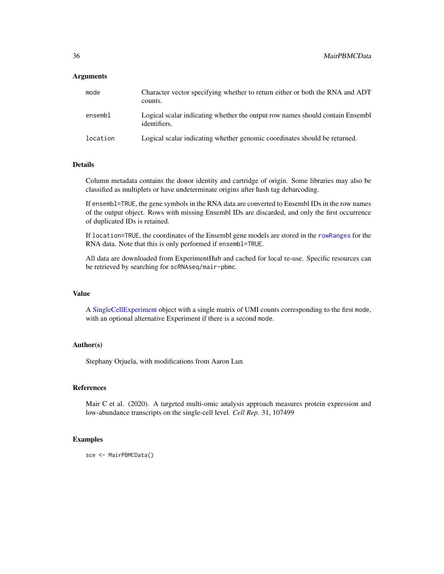#### **Arguments**

| mode     | Character vector specifying whether to return either or both the RNA and ADT<br>counts.       |
|----------|-----------------------------------------------------------------------------------------------|
| ensembl  | Logical scalar indicating whether the output row names should contain Ensembl<br>identifiers. |
| location | Logical scalar indicating whether genomic coordinates should be returned.                     |

#### Details

Column metadata contains the donor identity and cartridge of origin. Some libraries may also be classified as multiplets or have undeterminate origins after hash tag debarcoding.

If ensembl=TRUE, the gene symbols in the RNA data are converted to Ensembl IDs in the row names of the output object. Rows with missing Ensembl IDs are discarded, and only the first occurrence of duplicated IDs is retained.

If location=TRUE, the coordinates of the Ensembl gene models are stored in the [rowRanges](#page-0-0) for the RNA data. Note that this is only performed if ensembl=TRUE.

All data are downloaded from ExperimentHub and cached for local re-use. Specific resources can be retrieved by searching for scRNAseq/mair-pbmc.

#### Value

A [SingleCellExperiment](#page-0-0) object with a single matrix of UMI counts corresponding to the first mode, with an optional alternative Experiment if there is a second mode.

#### Author(s)

Stephany Orjuela, with modifications from Aaron Lun

#### References

Mair C et al. (2020). A targeted multi-omic analysis approach measures protein expression and low-abundance transcripts on the single-cell level. *Cell Rep.* 31, 107499

#### Examples

sce <- MairPBMCData()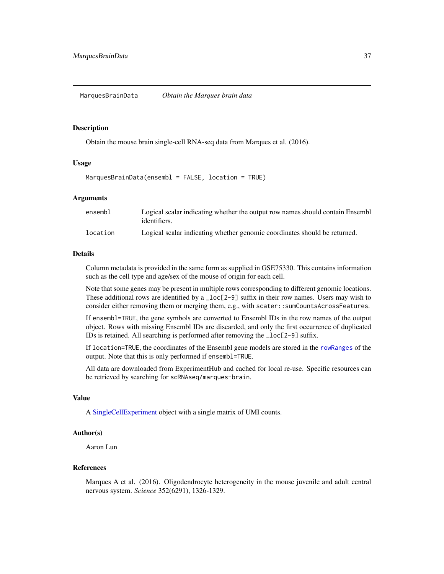#### <span id="page-36-0"></span>Description

Obtain the mouse brain single-cell RNA-seq data from Marques et al. (2016).

#### Usage

MarquesBrainData(ensembl = FALSE, location = TRUE)

#### Arguments

| ensembl  | Logical scalar indicating whether the output row names should contain Ensemble<br>identifiers. |
|----------|------------------------------------------------------------------------------------------------|
| location | Logical scalar indicating whether genomic coordinates should be returned.                      |

#### Details

Column metadata is provided in the same form as supplied in GSE75330. This contains information such as the cell type and age/sex of the mouse of origin for each cell.

Note that some genes may be present in multiple rows corresponding to different genomic locations. These additional rows are identified by a  $\lnot$  loc $\lceil 2-9 \rceil$  suffix in their row names. Users may wish to consider either removing them or merging them, e.g., with scater::sumCountsAcrossFeatures.

If ensembl=TRUE, the gene symbols are converted to Ensembl IDs in the row names of the output object. Rows with missing Ensembl IDs are discarded, and only the first occurrence of duplicated IDs is retained. All searching is performed after removing the \_loc[2-9] suffix.

If location=TRUE, the coordinates of the Ensembl gene models are stored in the [rowRanges](#page-0-0) of the output. Note that this is only performed if ensembl=TRUE.

All data are downloaded from ExperimentHub and cached for local re-use. Specific resources can be retrieved by searching for scRNAseq/marques-brain.

#### Value

A [SingleCellExperiment](#page-0-0) object with a single matrix of UMI counts.

#### Author(s)

Aaron Lun

#### References

Marques A et al. (2016). Oligodendrocyte heterogeneity in the mouse juvenile and adult central nervous system. *Science* 352(6291), 1326-1329.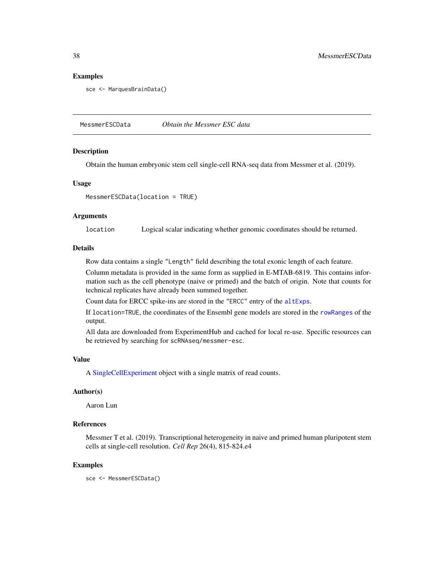#### <span id="page-37-0"></span>Examples

sce <- MarquesBrainData()

MessmerESCData *Obtain the Messmer ESC data*

#### **Description**

Obtain the human embryonic stem cell single-cell RNA-seq data from Messmer et al. (2019).

#### Usage

MessmerESCData(location = TRUE)

#### Arguments

location Logical scalar indicating whether genomic coordinates should be returned.

#### Details

Row data contains a single "Length" field describing the total exonic length of each feature.

Column metadata is provided in the same form as supplied in E-MTAB-6819. This contains information such as the cell phenotype (naive or primed) and the batch of origin. Note that counts for technical replicates have already been summed together.

Count data for ERCC spike-ins are stored in the "ERCC" entry of the [altExps](#page-0-0).

If location=TRUE, the coordinates of the Ensembl gene models are stored in the [rowRanges](#page-0-0) of the output.

All data are downloaded from ExperimentHub and cached for local re-use. Specific resources can be retrieved by searching for scRNAseq/messmer-esc.

#### Value

A [SingleCellExperiment](#page-0-0) object with a single matrix of read counts.

#### Author(s)

Aaron Lun

#### References

Messmer T et al. (2019). Transcriptional heterogeneity in naive and primed human pluripotent stem cells at single-cell resolution. *Cell Rep* 26(4), 815-824.e4

#### Examples

sce <- MessmerESCData()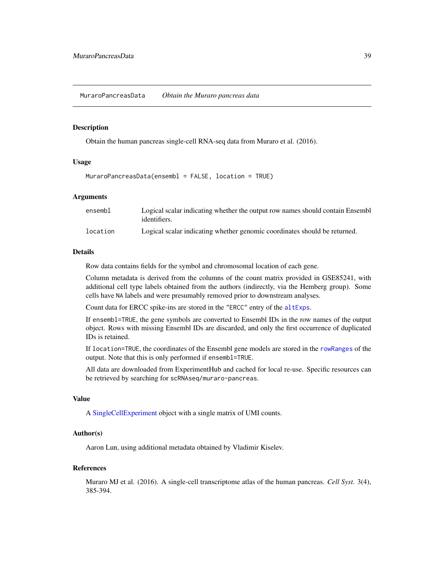<span id="page-38-0"></span>MuraroPancreasData *Obtain the Muraro pancreas data*

#### Description

Obtain the human pancreas single-cell RNA-seq data from Muraro et al. (2016).

#### Usage

```
MuraroPancreasData(ensembl = FALSE, location = TRUE)
```
#### Arguments

| ensembl  | Logical scalar indicating whether the output row names should contain Ensemble<br>identifiers. |
|----------|------------------------------------------------------------------------------------------------|
| location | Logical scalar indicating whether genomic coordinates should be returned.                      |

#### Details

Row data contains fields for the symbol and chromosomal location of each gene.

Column metadata is derived from the columns of the count matrix provided in GSE85241, with additional cell type labels obtained from the authors (indirectly, via the Hemberg group). Some cells have NA labels and were presumably removed prior to downstream analyses.

Count data for ERCC spike-ins are stored in the "ERCC" entry of the [altExps](#page-0-0).

If ensembl=TRUE, the gene symbols are converted to Ensembl IDs in the row names of the output object. Rows with missing Ensembl IDs are discarded, and only the first occurrence of duplicated IDs is retained.

If location=TRUE, the coordinates of the Ensembl gene models are stored in the [rowRanges](#page-0-0) of the output. Note that this is only performed if ensembl=TRUE.

All data are downloaded from ExperimentHub and cached for local re-use. Specific resources can be retrieved by searching for scRNAseq/muraro-pancreas.

#### Value

A [SingleCellExperiment](#page-0-0) object with a single matrix of UMI counts.

#### Author(s)

Aaron Lun, using additional metadata obtained by Vladimir Kiselev.

#### References

Muraro MJ et al. (2016). A single-cell transcriptome atlas of the human pancreas. *Cell Syst.* 3(4), 385-394.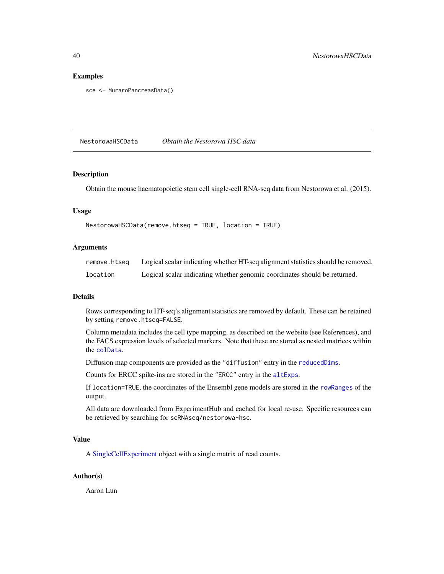#### Examples

```
sce <- MuraroPancreasData()
```
NestorowaHSCData *Obtain the Nestorowa HSC data*

#### Description

Obtain the mouse haematopoietic stem cell single-cell RNA-seq data from Nestorowa et al. (2015).

#### Usage

```
NestorowaHSCData(remove.htseq = TRUE, location = TRUE)
```
#### Arguments

| remove.htsea | Logical scalar indicating whether HT-seq alignment statistics should be removed. |
|--------------|----------------------------------------------------------------------------------|
| location     | Logical scalar indicating whether genomic coordinates should be returned.        |

#### Details

Rows corresponding to HT-seq's alignment statistics are removed by default. These can be retained by setting remove.htseq=FALSE.

Column metadata includes the cell type mapping, as described on the website (see References), and the FACS expression levels of selected markers. Note that these are stored as nested matrices within the [colData](#page-0-0).

Diffusion map components are provided as the "diffusion" entry in the [reducedDims](#page-0-0).

Counts for ERCC spike-ins are stored in the "ERCC" entry in the [altExps](#page-0-0).

If location=TRUE, the coordinates of the Ensembl gene models are stored in the [rowRanges](#page-0-0) of the output.

All data are downloaded from ExperimentHub and cached for local re-use. Specific resources can be retrieved by searching for scRNAseq/nestorowa-hsc.

#### Value

A [SingleCellExperiment](#page-0-0) object with a single matrix of read counts.

#### Author(s)

Aaron Lun

<span id="page-39-0"></span>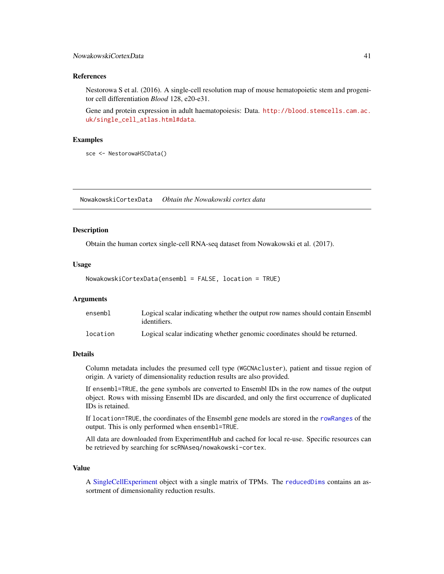#### <span id="page-40-0"></span>References

Nestorowa S et al. (2016). A single-cell resolution map of mouse hematopoietic stem and progenitor cell differentiation *Blood* 128, e20-e31.

Gene and protein expression in adult haematopoiesis: Data. [http://blood.stemcells.cam.ac.](http://blood.stemcells.cam.ac.uk/single_cell_atlas.html#data) [uk/single\\_cell\\_atlas.html#data](http://blood.stemcells.cam.ac.uk/single_cell_atlas.html#data).

#### Examples

sce <- NestorowaHSCData()

NowakowskiCortexData *Obtain the Nowakowski cortex data*

#### Description

Obtain the human cortex single-cell RNA-seq dataset from Nowakowski et al. (2017).

#### Usage

```
NowakowskiCortexData(ensembl = FALSE, location = TRUE)
```
#### Arguments

| ensembl  | Logical scalar indicating whether the output row names should contain Ensembl |
|----------|-------------------------------------------------------------------------------|
|          | identifiers.                                                                  |
| location | Logical scalar indicating whether genomic coordinates should be returned.     |

#### Details

Column metadata includes the presumed cell type (WGCNAcluster), patient and tissue region of origin. A variety of dimensionality reduction results are also provided.

If ensembl=TRUE, the gene symbols are converted to Ensembl IDs in the row names of the output object. Rows with missing Ensembl IDs are discarded, and only the first occurrence of duplicated IDs is retained.

If location=TRUE, the coordinates of the Ensembl gene models are stored in the [rowRanges](#page-0-0) of the output. This is only performed when ensembl=TRUE.

All data are downloaded from ExperimentHub and cached for local re-use. Specific resources can be retrieved by searching for scRNAseq/nowakowski-cortex.

#### Value

A [SingleCellExperiment](#page-0-0) object with a single matrix of TPMs. The [reducedDims](#page-0-0) contains an assortment of dimensionality reduction results.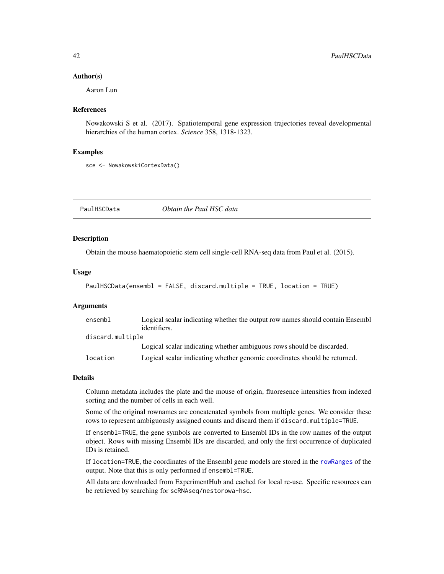#### <span id="page-41-0"></span>Author(s)

Aaron Lun

#### References

Nowakowski S et al. (2017). Spatiotemporal gene expression trajectories reveal developmental hierarchies of the human cortex. *Science* 358, 1318-1323.

#### Examples

sce <- NowakowskiCortexData()

PaulHSCData *Obtain the Paul HSC data*

#### Description

Obtain the mouse haematopoietic stem cell single-cell RNA-seq data from Paul et al. (2015).

#### Usage

```
PaulHSCData(ensembl = FALSE, discard.multiple = TRUE, location = TRUE)
```
#### Arguments

| ensembl          | Logical scalar indicating whether the output row names should contain Ensemble |
|------------------|--------------------------------------------------------------------------------|
|                  | identifiers.                                                                   |
| discard.multiple |                                                                                |
|                  | Logical scalar indicating whether ambiguous rows should be discarded.          |
| location         | Logical scalar indicating whether genomic coordinates should be returned.      |

#### Details

Column metadata includes the plate and the mouse of origin, fluoresence intensities from indexed sorting and the number of cells in each well.

Some of the original rownames are concatenated symbols from multiple genes. We consider these rows to represent ambiguously assigned counts and discard them if discard.multiple=TRUE.

If ensembl=TRUE, the gene symbols are converted to Ensembl IDs in the row names of the output object. Rows with missing Ensembl IDs are discarded, and only the first occurrence of duplicated IDs is retained.

If location=TRUE, the coordinates of the Ensembl gene models are stored in the [rowRanges](#page-0-0) of the output. Note that this is only performed if ensembl=TRUE.

All data are downloaded from ExperimentHub and cached for local re-use. Specific resources can be retrieved by searching for scRNAseq/nestorowa-hsc.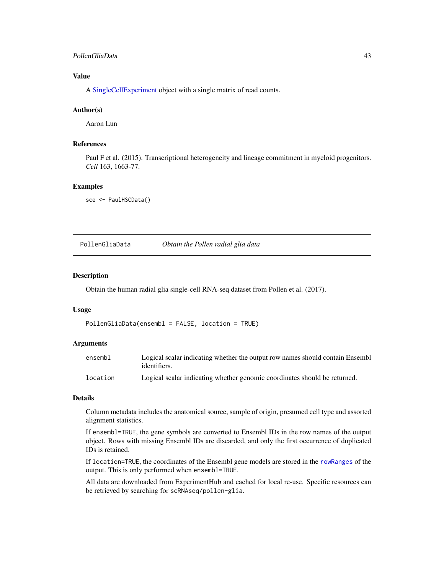#### <span id="page-42-0"></span>PollenGliaData 43

#### Value

A [SingleCellExperiment](#page-0-0) object with a single matrix of read counts.

#### Author(s)

Aaron Lun

### References

Paul F et al. (2015). Transcriptional heterogeneity and lineage commitment in myeloid progenitors. *Cell* 163, 1663-77.

#### Examples

sce <- PaulHSCData()

PollenGliaData *Obtain the Pollen radial glia data*

#### Description

Obtain the human radial glia single-cell RNA-seq dataset from Pollen et al. (2017).

#### Usage

PollenGliaData(ensembl = FALSE, location = TRUE)

#### **Arguments**

| ensembl  | Logical scalar indicating whether the output row names should contain Ensembl<br>identifiers. |
|----------|-----------------------------------------------------------------------------------------------|
| location | Logical scalar indicating whether genomic coordinates should be returned.                     |

#### Details

Column metadata includes the anatomical source, sample of origin, presumed cell type and assorted alignment statistics.

If ensembl=TRUE, the gene symbols are converted to Ensembl IDs in the row names of the output object. Rows with missing Ensembl IDs are discarded, and only the first occurrence of duplicated IDs is retained.

If location=TRUE, the coordinates of the Ensembl gene models are stored in the [rowRanges](#page-0-0) of the output. This is only performed when ensembl=TRUE.

All data are downloaded from ExperimentHub and cached for local re-use. Specific resources can be retrieved by searching for scRNAseq/pollen-glia.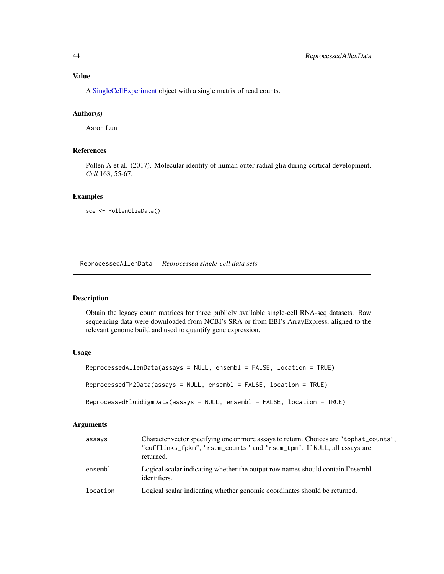#### <span id="page-43-0"></span>Value

A [SingleCellExperiment](#page-0-0) object with a single matrix of read counts.

#### Author(s)

Aaron Lun

#### References

Pollen A et al. (2017). Molecular identity of human outer radial glia during cortical development. *Cell* 163, 55-67.

#### Examples

```
sce <- PollenGliaData()
```
ReprocessedAllenData *Reprocessed single-cell data sets*

#### Description

Obtain the legacy count matrices for three publicly available single-cell RNA-seq datasets. Raw sequencing data were downloaded from NCBI's SRA or from EBI's ArrayExpress, aligned to the relevant genome build and used to quantify gene expression.

#### Usage

```
ReprocessedAllenData(assays = NULL, ensembl = FALSE, location = TRUE)
ReprocessedTh2Data(assays = NULL, ensembl = FALSE, location = TRUE)
ReprocessedFluidigmData(assays = NULL, ensembl = FALSE, location = TRUE)
```
#### **Arguments**

| assays   | Character vector specifying one or more assays to return. Choices are "tophat_counts",<br>"cufflinks_fpkm", "rsem_counts" and "rsem_tpm". If NULL, all assays are<br>returned. |
|----------|--------------------------------------------------------------------------------------------------------------------------------------------------------------------------------|
| ensembl  | Logical scalar indicating whether the output row names should contain Ensembl<br>identifiers.                                                                                  |
| location | Logical scalar indicating whether genomic coordinates should be returned.                                                                                                      |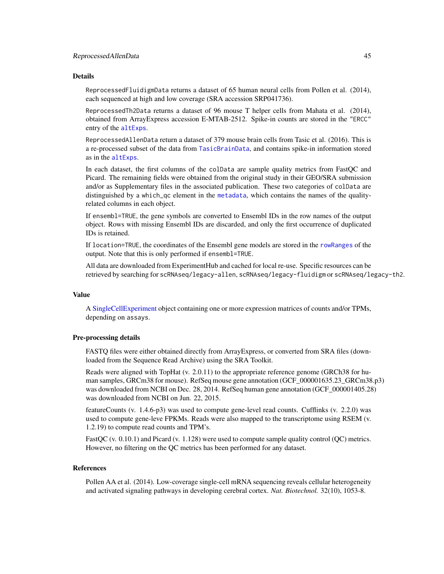#### <span id="page-44-0"></span>Details

ReprocessedFluidigmData returns a dataset of 65 human neural cells from Pollen et al. (2014), each sequenced at high and low coverage (SRA accession SRP041736).

ReprocessedTh2Data returns a dataset of 96 mouse T helper cells from Mahata et al. (2014), obtained from ArrayExpress accession E-MTAB-2512. Spike-in counts are stored in the "ERCC" entry of the [altExps](#page-0-0).

ReprocessedAllenData return a dataset of 379 mouse brain cells from Tasic et al. (2016). This is a re-processed subset of the data from [TasicBrainData](#page-51-1), and contains spike-in information stored as in the [altExps](#page-0-0).

In each dataset, the first columns of the colData are sample quality metrics from FastQC and Picard. The remaining fields were obtained from the original study in their GEO/SRA submission and/or as Supplementary files in the associated publication. These two categories of colData are distinguished by a which\_qc element in the [metadata](#page-0-0), which contains the names of the qualityrelated columns in each object.

If ensembl=TRUE, the gene symbols are converted to Ensembl IDs in the row names of the output object. Rows with missing Ensembl IDs are discarded, and only the first occurrence of duplicated IDs is retained.

If location=TRUE, the coordinates of the Ensembl gene models are stored in the [rowRanges](#page-0-0) of the output. Note that this is only performed if ensembl=TRUE.

All data are downloaded from ExperimentHub and cached for local re-use. Specific resources can be retrieved by searching for scRNAseq/legacy-allen, scRNAseq/legacy-fluidigm or scRNAseq/legacy-th2.

#### Value

A [SingleCellExperiment](#page-0-0) object containing one or more expression matrices of counts and/or TPMs, depending on assays.

#### Pre-processing details

FASTQ files were either obtained directly from ArrayExpress, or converted from SRA files (downloaded from the Sequence Read Archive) using the SRA Toolkit.

Reads were aligned with TopHat (v. 2.0.11) to the appropriate reference genome (GRCh38 for human samples, GRCm38 for mouse). RefSeq mouse gene annotation (GCF\_000001635.23\_GRCm38.p3) was downloaded from NCBI on Dec. 28, 2014. RefSeq human gene annotation (GCF\_000001405.28) was downloaded from NCBI on Jun. 22, 2015.

featureCounts (v. 1.4.6-p3) was used to compute gene-level read counts. Cufflinks (v. 2.2.0) was used to compute gene-leve FPKMs. Reads were also mapped to the transcriptome using RSEM (v. 1.2.19) to compute read counts and TPM's.

FastQC (v. 0.10.1) and Picard (v. 1.128) were used to compute sample quality control (QC) metrics. However, no filtering on the QC metrics has been performed for any dataset.

#### References

Pollen AA et al. (2014). Low-coverage single-cell mRNA sequencing reveals cellular heterogeneity and activated signaling pathways in developing cerebral cortex. *Nat. Biotechnol.* 32(10), 1053-8.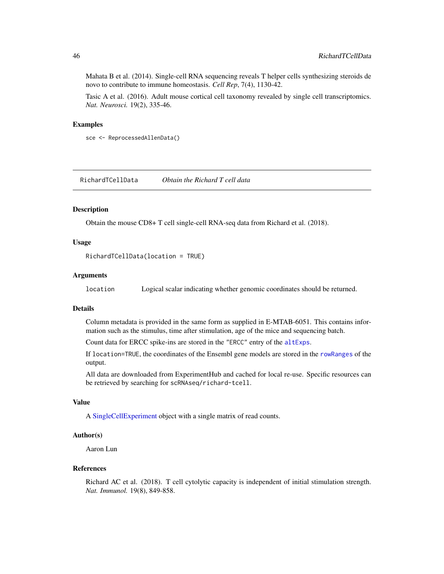Mahata B et al. (2014). Single-cell RNA sequencing reveals T helper cells synthesizing steroids de novo to contribute to immune homeostasis. *Cell Rep*, 7(4), 1130-42.

Tasic A et al. (2016). Adult mouse cortical cell taxonomy revealed by single cell transcriptomics. *Nat. Neurosci.* 19(2), 335-46.

#### Examples

```
sce <- ReprocessedAllenData()
```
RichardTCellData *Obtain the Richard T cell data*

#### Description

Obtain the mouse CD8+ T cell single-cell RNA-seq data from Richard et al. (2018).

#### Usage

RichardTCellData(location = TRUE)

#### Arguments

location Logical scalar indicating whether genomic coordinates should be returned.

#### Details

Column metadata is provided in the same form as supplied in E-MTAB-6051. This contains information such as the stimulus, time after stimulation, age of the mice and sequencing batch.

Count data for ERCC spike-ins are stored in the "ERCC" entry of the [altExps](#page-0-0).

If location=TRUE, the coordinates of the Ensembl gene models are stored in the [rowRanges](#page-0-0) of the output.

All data are downloaded from ExperimentHub and cached for local re-use. Specific resources can be retrieved by searching for scRNAseq/richard-tcell.

#### Value

A [SingleCellExperiment](#page-0-0) object with a single matrix of read counts.

#### Author(s)

Aaron Lun

#### References

Richard AC et al. (2018). T cell cytolytic capacity is independent of initial stimulation strength. *Nat. Immunol.* 19(8), 849-858.

<span id="page-45-0"></span>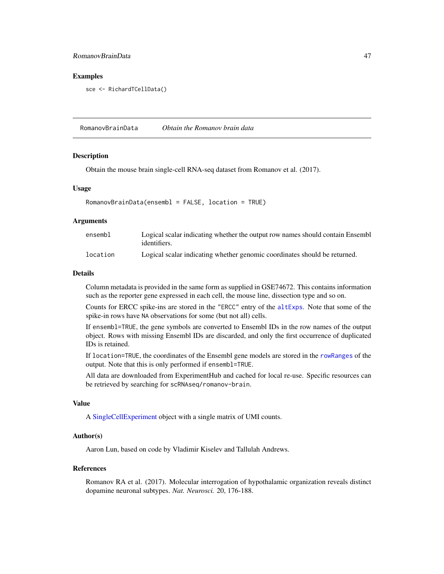#### <span id="page-46-0"></span>RomanovBrainData 47

#### Examples

sce <- RichardTCellData()

RomanovBrainData *Obtain the Romanov brain data*

#### **Description**

Obtain the mouse brain single-cell RNA-seq dataset from Romanov et al. (2017).

#### Usage

```
RomanovBrainData(ensembl = FALSE, location = TRUE)
```
#### Arguments

| ensembl  | Logical scalar indicating whether the output row names should contain Ensemble |
|----------|--------------------------------------------------------------------------------|
|          | identifiers.                                                                   |
| location | Logical scalar indicating whether genomic coordinates should be returned.      |

#### Details

Column metadata is provided in the same form as supplied in GSE74672. This contains information such as the reporter gene expressed in each cell, the mouse line, dissection type and so on.

Counts for ERCC spike-ins are stored in the "ERCC" entry of the [altExps](#page-0-0). Note that some of the spike-in rows have NA observations for some (but not all) cells.

If ensembl=TRUE, the gene symbols are converted to Ensembl IDs in the row names of the output object. Rows with missing Ensembl IDs are discarded, and only the first occurrence of duplicated IDs is retained.

If location=TRUE, the coordinates of the Ensembl gene models are stored in the [rowRanges](#page-0-0) of the output. Note that this is only performed if ensembl=TRUE.

All data are downloaded from ExperimentHub and cached for local re-use. Specific resources can be retrieved by searching for scRNAseq/romanov-brain.

#### Value

A [SingleCellExperiment](#page-0-0) object with a single matrix of UMI counts.

#### Author(s)

Aaron Lun, based on code by Vladimir Kiselev and Tallulah Andrews.

#### References

Romanov RA et al. (2017). Molecular interrogation of hypothalamic organization reveals distinct dopamine neuronal subtypes. *Nat. Neurosci.* 20, 176-188.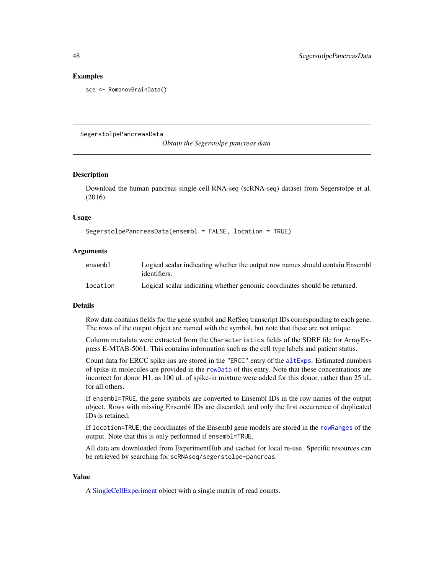#### Examples

sce <- RomanovBrainData()

SegerstolpePancreasData

*Obtain the Segerstolpe pancreas data*

#### Description

Download the human pancreas single-cell RNA-seq (scRNA-seq) dataset from Segerstolpe et al. (2016)

#### Usage

```
SegerstolpePancreasData(ensembl = FALSE, location = TRUE)
```
#### Arguments

| ensembl  | Logical scalar indicating whether the output row names should contain Ensembl |
|----------|-------------------------------------------------------------------------------|
|          | identifiers.                                                                  |
| location | Logical scalar indicating whether genomic coordinates should be returned.     |

#### Details

Row data contains fields for the gene symbol and RefSeq transcript IDs corresponding to each gene. The rows of the output object are named with the symbol, but note that these are not unique.

Column metadata were extracted from the Characteristics fields of the SDRF file for ArrayExpress E-MTAB-5061. This contains information such as the cell type labels and patient status.

Count data for ERCC spike-ins are stored in the "ERCC" entry of the [altExps](#page-0-0). Estimated numbers of spike-in molecules are provided in the [rowData](#page-0-0) of this entry. Note that these concentrations are incorrect for donor H1, as 100 uL of spike-in mixture were added for this donor, rather than 25 uL for all others.

If ensembl=TRUE, the gene symbols are converted to Ensembl IDs in the row names of the output object. Rows with missing Ensembl IDs are discarded, and only the first occurrence of duplicated IDs is retained.

If location=TRUE, the coordinates of the Ensembl gene models are stored in the [rowRanges](#page-0-0) of the output. Note that this is only performed if ensembl=TRUE.

All data are downloaded from ExperimentHub and cached for local re-use. Specific resources can be retrieved by searching for scRNAseq/segerstolpe-pancreas.

#### Value

A [SingleCellExperiment](#page-0-0) object with a single matrix of read counts.

<span id="page-47-0"></span>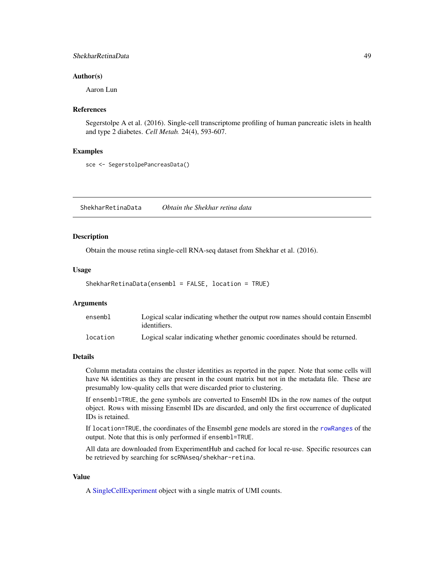#### <span id="page-48-0"></span>ShekharRetinaData 49

#### Author(s)

Aaron Lun

#### References

Segerstolpe A et al. (2016). Single-cell transcriptome profiling of human pancreatic islets in health and type 2 diabetes. *Cell Metab.* 24(4), 593-607.

#### Examples

```
sce <- SegerstolpePancreasData()
```
ShekharRetinaData *Obtain the Shekhar retina data*

#### **Description**

Obtain the mouse retina single-cell RNA-seq dataset from Shekhar et al. (2016).

#### Usage

ShekharRetinaData(ensembl = FALSE, location = TRUE)

#### Arguments

| ensembl  | Logical scalar indicating whether the output row names should contain Ensembl<br>identifiers. |
|----------|-----------------------------------------------------------------------------------------------|
| location | Logical scalar indicating whether genomic coordinates should be returned.                     |

#### Details

Column metadata contains the cluster identities as reported in the paper. Note that some cells will have NA identities as they are present in the count matrix but not in the metadata file. These are presumably low-quality cells that were discarded prior to clustering.

If ensembl=TRUE, the gene symbols are converted to Ensembl IDs in the row names of the output object. Rows with missing Ensembl IDs are discarded, and only the first occurrence of duplicated IDs is retained.

If location=TRUE, the coordinates of the Ensembl gene models are stored in the [rowRanges](#page-0-0) of the output. Note that this is only performed if ensembl=TRUE.

All data are downloaded from ExperimentHub and cached for local re-use. Specific resources can be retrieved by searching for scRNAseq/shekhar-retina.

#### Value

A [SingleCellExperiment](#page-0-0) object with a single matrix of UMI counts.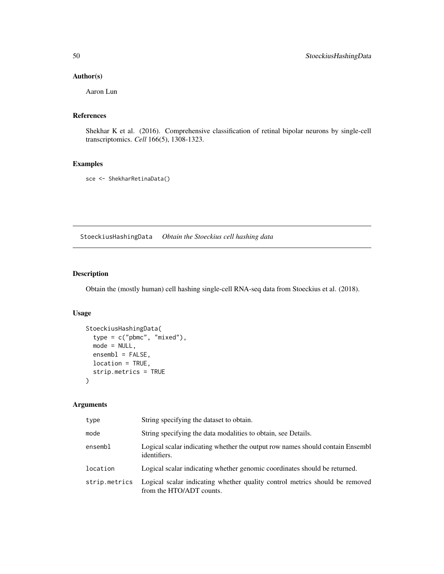#### <span id="page-49-0"></span>Author(s)

Aaron Lun

### References

Shekhar K et al. (2016). Comprehensive classification of retinal bipolar neurons by single-cell transcriptomics. *Cell* 166(5), 1308-1323.

#### Examples

sce <- ShekharRetinaData()

StoeckiusHashingData *Obtain the Stoeckius cell hashing data*

#### Description

Obtain the (mostly human) cell hashing single-cell RNA-seq data from Stoeckius et al. (2018).

#### Usage

```
StoeckiusHashingData(
  type = c("pbmc", "mixed"),
 mode = NULL,ensemb1 = FALSE,location = TRUE,
 strip.metrics = TRUE
)
```
#### Arguments

| type          | String specifying the dataset to obtain.                                                                |
|---------------|---------------------------------------------------------------------------------------------------------|
| mode          | String specifying the data modalities to obtain, see Details.                                           |
| ensembl       | Logical scalar indicating whether the output row names should contain Ensembl<br>identifiers.           |
| location      | Logical scalar indicating whether genomic coordinates should be returned.                               |
| strip.metrics | Logical scalar indicating whether quality control metrics should be removed<br>from the HTO/ADT counts. |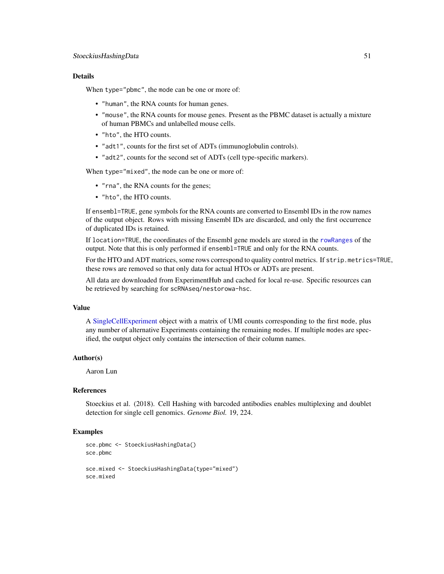#### <span id="page-50-0"></span>Details

When type="pbmc", the mode can be one or more of:

- "human", the RNA counts for human genes.
- "mouse", the RNA counts for mouse genes. Present as the PBMC dataset is actually a mixture of human PBMCs and unlabelled mouse cells.
- "hto", the HTO counts.
- "adt1", counts for the first set of ADTs (immunoglobulin controls).
- "adt2", counts for the second set of ADTs (cell type-specific markers).

When type="mixed", the mode can be one or more of:

- "rna", the RNA counts for the genes;
- "hto", the HTO counts.

If ensembl=TRUE, gene symbols for the RNA counts are converted to Ensembl IDs in the row names of the output object. Rows with missing Ensembl IDs are discarded, and only the first occurrence of duplicated IDs is retained.

If location=TRUE, the coordinates of the Ensembl gene models are stored in the [rowRanges](#page-0-0) of the output. Note that this is only performed if ensembl=TRUE and only for the RNA counts.

For the HTO and ADT matrices, some rows correspond to quality control metrics. If strip.metrics=TRUE, these rows are removed so that only data for actual HTOs or ADTs are present.

All data are downloaded from ExperimentHub and cached for local re-use. Specific resources can be retrieved by searching for scRNAseq/nestorowa-hsc.

#### Value

A [SingleCellExperiment](#page-0-0) object with a matrix of UMI counts corresponding to the first mode, plus any number of alternative Experiments containing the remaining modes. If multiple modes are specified, the output object only contains the intersection of their column names.

#### Author(s)

Aaron Lun

#### References

Stoeckius et al. (2018). Cell Hashing with barcoded antibodies enables multiplexing and doublet detection for single cell genomics. *Genome Biol.* 19, 224.

#### Examples

```
sce.pbmc <- StoeckiusHashingData()
sce.pbmc
sce.mixed <- StoeckiusHashingData(type="mixed")
sce.mixed
```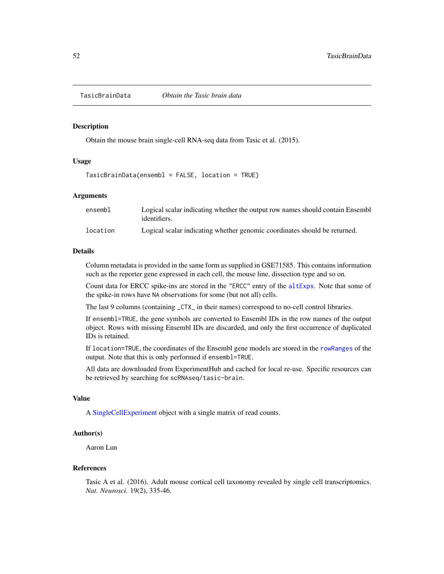<span id="page-51-1"></span><span id="page-51-0"></span>

#### Description

Obtain the mouse brain single-cell RNA-seq data from Tasic et al. (2015).

#### Usage

TasicBrainData(ensembl = FALSE, location = TRUE)

#### Arguments

| ensembl  | Logical scalar indicating whether the output row names should contain Ensemble<br>identifiers. |
|----------|------------------------------------------------------------------------------------------------|
| location | Logical scalar indicating whether genomic coordinates should be returned.                      |

#### Details

Column metadata is provided in the same form as supplied in GSE71585. This contains information such as the reporter gene expressed in each cell, the mouse line, dissection type and so on.

Count data for ERCC spike-ins are stored in the "ERCC" entry of the [altExps](#page-0-0). Note that some of the spike-in rows have NA observations for some (but not all) cells.

The last 9 columns (containing \_CTX\_ in their names) correspond to no-cell control libraries.

If ensembl=TRUE, the gene symbols are converted to Ensembl IDs in the row names of the output object. Rows with missing Ensembl IDs are discarded, and only the first occurrence of duplicated IDs is retained.

If location=TRUE, the coordinates of the Ensembl gene models are stored in the [rowRanges](#page-0-0) of the output. Note that this is only performed if ensembl=TRUE.

All data are downloaded from ExperimentHub and cached for local re-use. Specific resources can be retrieved by searching for scRNAseq/tasic-brain.

#### Value

A [SingleCellExperiment](#page-0-0) object with a single matrix of read counts.

#### Author(s)

Aaron Lun

#### References

Tasic A et al. (2016). Adult mouse cortical cell taxonomy revealed by single cell transcriptomics. *Nat. Neurosci.* 19(2), 335-46.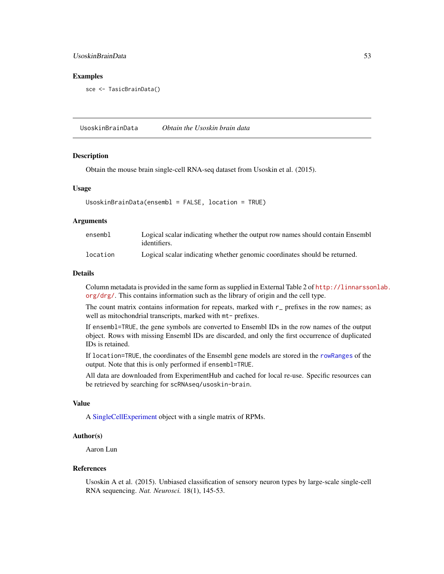#### <span id="page-52-0"></span>UsoskinBrainData 53

#### Examples

sce <- TasicBrainData()

UsoskinBrainData *Obtain the Usoskin brain data*

#### Description

Obtain the mouse brain single-cell RNA-seq dataset from Usoskin et al. (2015).

#### Usage

```
UsoskinBrainData(ensembl = FALSE, location = TRUE)
```
#### Arguments

| ensembl  | Logical scalar indicating whether the output row names should contain Ensemble<br>identifiers. |
|----------|------------------------------------------------------------------------------------------------|
| location | Logical scalar indicating whether genomic coordinates should be returned.                      |

#### Details

Column metadata is provided in the same form as supplied in External Table 2 of [http://linnarsso](http://linnarssonlab.org/drg/)nlab. [org/drg/](http://linnarssonlab.org/drg/). This contains information such as the library of origin and the cell type.

The count matrix contains information for repeats, marked with  $r_$  prefixes in the row names; as well as mitochondrial transcripts, marked with  $m$ t- prefixes.

If ensembl=TRUE, the gene symbols are converted to Ensembl IDs in the row names of the output object. Rows with missing Ensembl IDs are discarded, and only the first occurrence of duplicated IDs is retained.

If location=TRUE, the coordinates of the Ensembl gene models are stored in the [rowRanges](#page-0-0) of the output. Note that this is only performed if ensembl=TRUE.

All data are downloaded from ExperimentHub and cached for local re-use. Specific resources can be retrieved by searching for scRNAseq/usoskin-brain.

#### Value

A [SingleCellExperiment](#page-0-0) object with a single matrix of RPMs.

#### Author(s)

Aaron Lun

#### References

Usoskin A et al. (2015). Unbiased classification of sensory neuron types by large-scale single-cell RNA sequencing. *Nat. Neurosci.* 18(1), 145-53.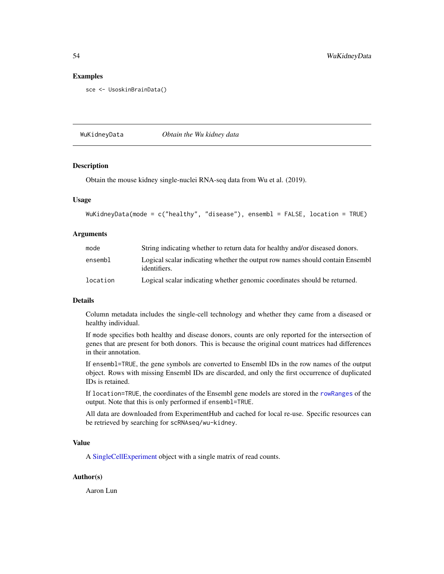#### Examples

sce <- UsoskinBrainData()

WuKidneyData *Obtain the Wu kidney data*

#### Description

Obtain the mouse kidney single-nuclei RNA-seq data from Wu et al. (2019).

#### Usage

```
WuKidneyData(mode = c("healthy", "disease"), ensembl = FALSE, location = TRUE)
```
#### Arguments

| mode     | String indicating whether to return data for healthy and/or diseased donors.                   |
|----------|------------------------------------------------------------------------------------------------|
| ensembl  | Logical scalar indicating whether the output row names should contain Ensemble<br>identifiers. |
| location | Logical scalar indicating whether genomic coordinates should be returned.                      |

#### Details

Column metadata includes the single-cell technology and whether they came from a diseased or healthy individual.

If mode specifies both healthy and disease donors, counts are only reported for the intersection of genes that are present for both donors. This is because the original count matrices had differences in their annotation.

If ensembl=TRUE, the gene symbols are converted to Ensembl IDs in the row names of the output object. Rows with missing Ensembl IDs are discarded, and only the first occurrence of duplicated IDs is retained.

If location=TRUE, the coordinates of the Ensembl gene models are stored in the [rowRanges](#page-0-0) of the output. Note that this is only performed if ensembl=TRUE.

All data are downloaded from ExperimentHub and cached for local re-use. Specific resources can be retrieved by searching for scRNAseq/wu-kidney.

#### Value

A [SingleCellExperiment](#page-0-0) object with a single matrix of read counts.

#### Author(s)

Aaron Lun

<span id="page-53-0"></span>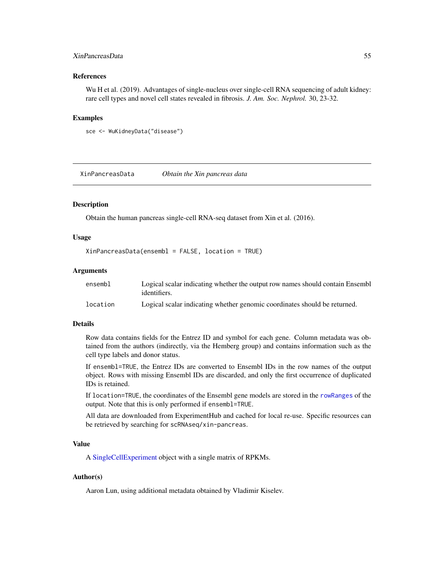#### <span id="page-54-0"></span>XinPancreasData 55

#### References

Wu H et al. (2019). Advantages of single-nucleus over single-cell RNA sequencing of adult kidney: rare cell types and novel cell states revealed in fibrosis. *J. Am. Soc. Nephrol.* 30, 23-32.

#### Examples

```
sce <- WuKidneyData("disease")
```
XinPancreasData *Obtain the Xin pancreas data*

#### Description

Obtain the human pancreas single-cell RNA-seq dataset from Xin et al. (2016).

#### Usage

XinPancreasData(ensembl = FALSE, location = TRUE)

#### Arguments

| ensembl  | Logical scalar indicating whether the output row names should contain Ensemble<br>identifiers. |
|----------|------------------------------------------------------------------------------------------------|
| location | Logical scalar indicating whether genomic coordinates should be returned.                      |

#### Details

Row data contains fields for the Entrez ID and symbol for each gene. Column metadata was obtained from the authors (indirectly, via the Hemberg group) and contains information such as the cell type labels and donor status.

If ensembl=TRUE, the Entrez IDs are converted to Ensembl IDs in the row names of the output object. Rows with missing Ensembl IDs are discarded, and only the first occurrence of duplicated IDs is retained.

If location=TRUE, the coordinates of the Ensembl gene models are stored in the [rowRanges](#page-0-0) of the output. Note that this is only performed if ensembl=TRUE.

All data are downloaded from ExperimentHub and cached for local re-use. Specific resources can be retrieved by searching for scRNAseq/xin-pancreas.

#### Value

A [SingleCellExperiment](#page-0-0) object with a single matrix of RPKMs.

#### Author(s)

Aaron Lun, using additional metadata obtained by Vladimir Kiselev.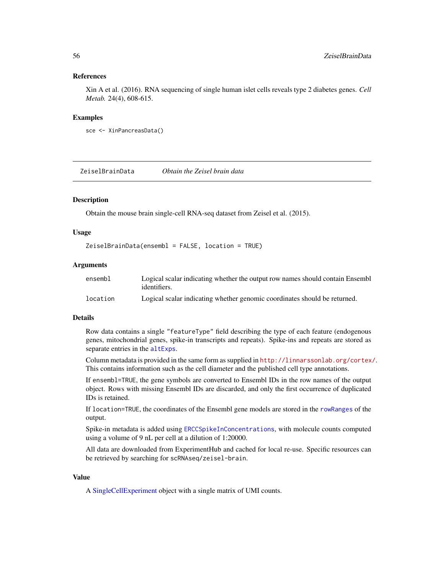#### <span id="page-55-0"></span>References

Xin A et al. (2016). RNA sequencing of single human islet cells reveals type 2 diabetes genes. *Cell Metab.* 24(4), 608-615.

#### Examples

```
sce <- XinPancreasData()
```
ZeiselBrainData *Obtain the Zeisel brain data*

#### Description

Obtain the mouse brain single-cell RNA-seq dataset from Zeisel et al. (2015).

#### Usage

```
ZeiselBrainData(ensembl = FALSE, location = TRUE)
```
#### Arguments

| ensembl  | Logical scalar indicating whether the output row names should contain Ensembl<br>identifiers. |
|----------|-----------------------------------------------------------------------------------------------|
| location | Logical scalar indicating whether genomic coordinates should be returned.                     |

#### Details

Row data contains a single "featureType" field describing the type of each feature (endogenous genes, mitochondrial genes, spike-in transcripts and repeats). Spike-ins and repeats are stored as separate entries in the [altExps](#page-0-0).

Column metadata is provided in the same form as supplied in <http://linnarssonlab.org/cortex/>. This contains information such as the cell diameter and the published cell type annotations.

If ensembl=TRUE, the gene symbols are converted to Ensembl IDs in the row names of the output object. Rows with missing Ensembl IDs are discarded, and only the first occurrence of duplicated IDs is retained.

If location=TRUE, the coordinates of the Ensembl gene models are stored in the [rowRanges](#page-0-0) of the output.

Spike-in metadata is added using [ERCCSpikeInConcentrations](#page-13-1), with molecule counts computed using a volume of 9 nL per cell at a dilution of 1:20000.

All data are downloaded from ExperimentHub and cached for local re-use. Specific resources can be retrieved by searching for scRNAseq/zeisel-brain.

#### Value

A [SingleCellExperiment](#page-0-0) object with a single matrix of UMI counts.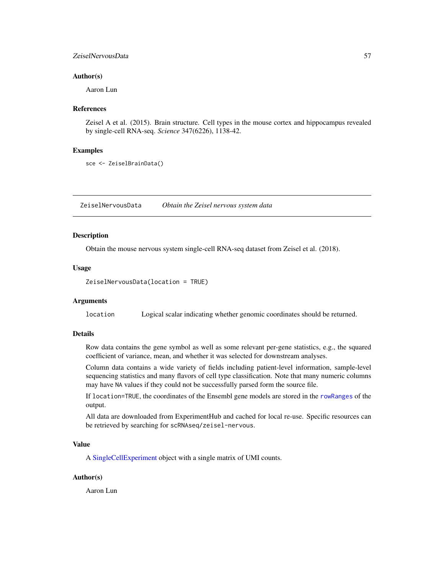#### <span id="page-56-0"></span>ZeiselNervousData 57

#### Author(s)

Aaron Lun

#### References

Zeisel A et al. (2015). Brain structure. Cell types in the mouse cortex and hippocampus revealed by single-cell RNA-seq. *Science* 347(6226), 1138-42.

#### Examples

```
sce <- ZeiselBrainData()
```
ZeiselNervousData *Obtain the Zeisel nervous system data*

#### Description

Obtain the mouse nervous system single-cell RNA-seq dataset from Zeisel et al. (2018).

#### Usage

```
ZeiselNervousData(location = TRUE)
```
#### Arguments

location Logical scalar indicating whether genomic coordinates should be returned.

#### Details

Row data contains the gene symbol as well as some relevant per-gene statistics, e.g., the squared coefficient of variance, mean, and whether it was selected for downstream analyses.

Column data contains a wide variety of fields including patient-level information, sample-level sequencing statistics and many flavors of cell type classification. Note that many numeric columns may have NA values if they could not be successfully parsed form the source file.

If location=TRUE, the coordinates of the Ensembl gene models are stored in the [rowRanges](#page-0-0) of the output.

All data are downloaded from ExperimentHub and cached for local re-use. Specific resources can be retrieved by searching for scRNAseq/zeisel-nervous.

#### Value

A [SingleCellExperiment](#page-0-0) object with a single matrix of UMI counts.

#### Author(s)

Aaron Lun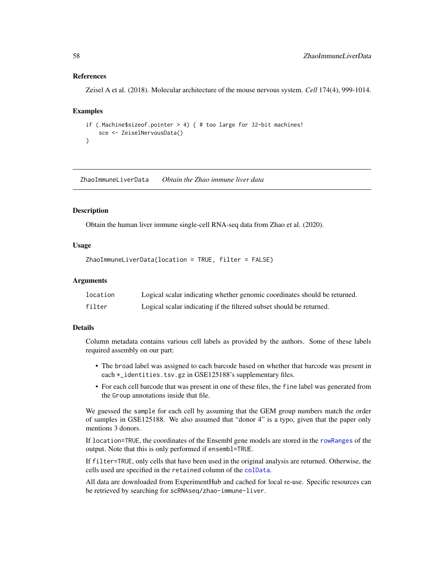#### <span id="page-57-0"></span>References

Zeisel A et al. (2018). Molecular architecture of the mouse nervous system. *Cell* 174(4), 999-1014.

#### Examples

```
if (.Machine$sizeof.pointer > 4) { # too large for 32-bit machines!
   sce <- ZeiselNervousData()
}
```
ZhaoImmuneLiverData *Obtain the Zhao immune liver data*

#### **Description**

Obtain the human liver immune single-cell RNA-seq data from Zhao et al. (2020).

#### Usage

ZhaoImmuneLiverData(location = TRUE, filter = FALSE)

#### **Arguments**

| location | Logical scalar indicating whether genomic coordinates should be returned. |
|----------|---------------------------------------------------------------------------|
| filter   | Logical scalar indicating if the filtered subset should be returned.      |

#### Details

Column metadata contains various cell labels as provided by the authors. Some of these labels required assembly on our part:

- The broad label was assigned to each barcode based on whether that barcode was present in each \*\_identities.tsv.gz in GSE125188's supplementary files.
- For each cell barcode that was present in one of these files, the fine label was generated from the Group annotations inside that file.

We guessed the sample for each cell by assuming that the GEM group numbers match the order of samples in GSE125188. We also assumed that "donor 4" is a typo, given that the paper only mentions 3 donors.

If location=TRUE, the coordinates of the Ensembl gene models are stored in the [rowRanges](#page-0-0) of the output. Note that this is only performed if ensembl=TRUE.

If filter=TRUE, only cells that have been used in the original analysis are returned. Otherwise, the cells used are specified in the retained column of the [colData](#page-0-0).

All data are downloaded from ExperimentHub and cached for local re-use. Specific resources can be retrieved by searching for scRNAseq/zhao-immune-liver.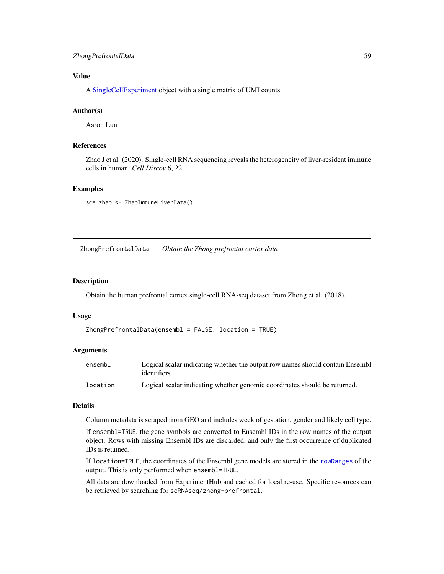#### <span id="page-58-0"></span>ZhongPrefrontalData 59

#### Value

A [SingleCellExperiment](#page-0-0) object with a single matrix of UMI counts.

#### Author(s)

Aaron Lun

#### References

Zhao J et al. (2020). Single-cell RNA sequencing reveals the heterogeneity of liver-resident immune cells in human. *Cell Discov* 6, 22.

#### Examples

sce.zhao <- ZhaoImmuneLiverData()

ZhongPrefrontalData *Obtain the Zhong prefrontal cortex data*

#### Description

Obtain the human prefrontal cortex single-cell RNA-seq dataset from Zhong et al. (2018).

#### Usage

```
ZhongPrefrontalData(ensembl = FALSE, location = TRUE)
```
#### Arguments

| ensembl  | Logical scalar indicating whether the output row names should contain Ensembl<br>identifiers. |
|----------|-----------------------------------------------------------------------------------------------|
| location | Logical scalar indicating whether genomic coordinates should be returned.                     |

#### Details

Column metadata is scraped from GEO and includes week of gestation, gender and likely cell type.

If ensembl=TRUE, the gene symbols are converted to Ensembl IDs in the row names of the output object. Rows with missing Ensembl IDs are discarded, and only the first occurrence of duplicated IDs is retained.

If location=TRUE, the coordinates of the Ensembl gene models are stored in the [rowRanges](#page-0-0) of the output. This is only performed when ensembl=TRUE.

All data are downloaded from ExperimentHub and cached for local re-use. Specific resources can be retrieved by searching for scRNAseq/zhong-prefrontal.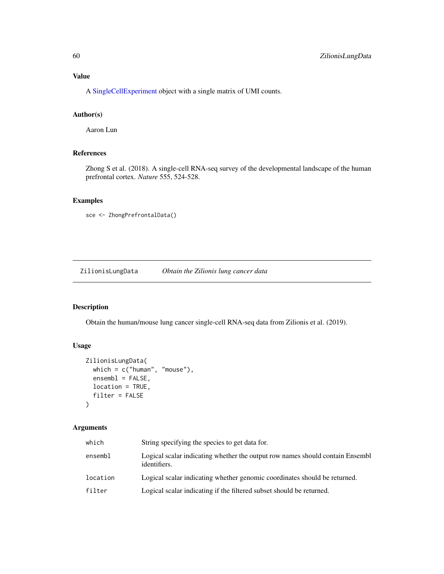<span id="page-59-0"></span>A [SingleCellExperiment](#page-0-0) object with a single matrix of UMI counts.

#### Author(s)

Aaron Lun

#### References

Zhong S et al. (2018). A single-cell RNA-seq survey of the developmental landscape of the human prefrontal cortex. *Nature* 555, 524-528.

#### Examples

```
sce <- ZhongPrefrontalData()
```
ZilionisLungData *Obtain the Zilionis lung cancer data*

### Description

Obtain the human/mouse lung cancer single-cell RNA-seq data from Zilionis et al. (2019).

#### Usage

```
ZilionisLungData(
 which = c("human", "mouse"),
  ensemble = FALSE,location = TRUE,
  filter = FALSE
)
```
#### Arguments

| which    | String specifying the species to get data for.                                                |
|----------|-----------------------------------------------------------------------------------------------|
| ensembl  | Logical scalar indicating whether the output row names should contain Ensembl<br>identifiers. |
| location | Logical scalar indicating whether genomic coordinates should be returned.                     |
| filter   | Logical scalar indicating if the filtered subset should be returned.                          |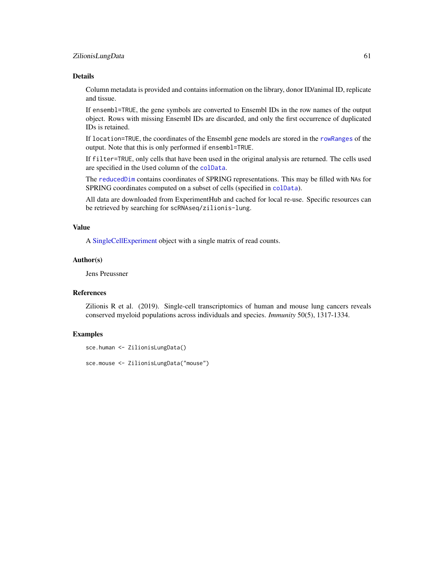#### <span id="page-60-0"></span>ZilionisLungData 61

#### Details

Column metadata is provided and contains information on the library, donor ID/animal ID, replicate and tissue.

If ensembl=TRUE, the gene symbols are converted to Ensembl IDs in the row names of the output object. Rows with missing Ensembl IDs are discarded, and only the first occurrence of duplicated IDs is retained.

If location=TRUE, the coordinates of the Ensembl gene models are stored in the [rowRanges](#page-0-0) of the output. Note that this is only performed if ensembl=TRUE.

If filter=TRUE, only cells that have been used in the original analysis are returned. The cells used are specified in the Used column of the [colData](#page-0-0).

The [reducedDim](#page-0-0) contains coordinates of SPRING representations. This may be filled with NAs for SPRING coordinates computed on a subset of cells (specified in [colData](#page-0-0)).

All data are downloaded from ExperimentHub and cached for local re-use. Specific resources can be retrieved by searching for scRNAseq/zilionis-lung.

#### Value

A [SingleCellExperiment](#page-0-0) object with a single matrix of read counts.

#### Author(s)

Jens Preussner

#### References

Zilionis R et al. (2019). Single-cell transcriptomics of human and mouse lung cancers reveals conserved myeloid populations across individuals and species. *Immunity* 50(5), 1317-1334.

#### Examples

sce.human <- ZilionisLungData()

sce.mouse <- ZilionisLungData("mouse")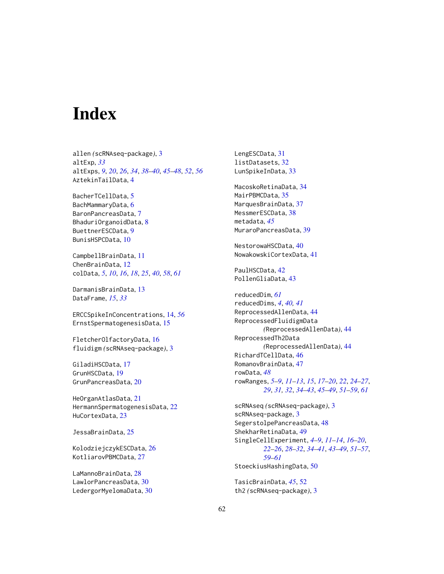# <span id="page-61-0"></span>**Index**

allen *(*scRNAseq-package*)*, [3](#page-2-0) altExp, *[33](#page-32-0)* altExps, *[9](#page-8-0)*, *[20](#page-19-0)*, *[26](#page-25-0)*, *[34](#page-33-0)*, *[38–](#page-37-0)[40](#page-39-0)*, *[45–](#page-44-0)[48](#page-47-0)*, *[52](#page-51-0)*, *[56](#page-55-0)* AztekinTailData, [4](#page-3-0)

BacherTCellData, [5](#page-4-0) BachMammaryData, [6](#page-5-0) BaronPancreasData, [7](#page-6-0) BhaduriOrganoidData, [8](#page-7-0) BuettnerESCData, [9](#page-8-0) BunisHSPCData, [10](#page-9-0)

CampbellBrainData, [11](#page-10-0) ChenBrainData, [12](#page-11-0) colData, *[5](#page-4-0)*, *[10](#page-9-0)*, *[16](#page-15-0)*, *[18](#page-17-0)*, *[25](#page-24-0)*, *[40](#page-39-0)*, *[58](#page-57-0)*, *[61](#page-60-0)*

DarmanisBrainData, [13](#page-12-0) DataFrame, *[15](#page-14-0)*, *[33](#page-32-0)*

ERCCSpikeInConcentrations, [14,](#page-13-0) *[56](#page-55-0)* ErnstSpermatogenesisData, [15](#page-14-0)

FletcherOlfactoryData, [16](#page-15-0) fluidigm *(*scRNAseq-package*)*, [3](#page-2-0)

GiladiHSCData, [17](#page-16-0) GrunHSCData, [19](#page-18-0) GrunPancreasData, [20](#page-19-0)

HeOrganAtlasData, [21](#page-20-0) HermannSpermatogenesisData, [22](#page-21-0) HuCortexData, [23](#page-22-0)

JessaBrainData, [25](#page-24-0)

KolodziejczykESCData, [26](#page-25-0) KotliarovPBMCData, [27](#page-26-0)

LaMannoBrainData, [28](#page-27-0) LawlorPancreasData, [30](#page-29-0) LedergorMyelomaData, [30](#page-29-0) LengESCData, [31](#page-30-0) listDatasets, [32](#page-31-0) LunSpikeInData, [33](#page-32-0) MacoskoRetinaData, [34](#page-33-0) MairPBMCData, [35](#page-34-0) MarquesBrainData, [37](#page-36-0) MessmerESCData, [38](#page-37-0) metadata, *[45](#page-44-0)* MuraroPancreasData, [39](#page-38-0) NestorowaHSCData, [40](#page-39-0) NowakowskiCortexData, [41](#page-40-0) PaulHSCData, [42](#page-41-0) PollenGliaData, [43](#page-42-0) reducedDim, *[61](#page-60-0)* reducedDims, *[4](#page-3-0)*, *[40,](#page-39-0) [41](#page-40-0)* ReprocessedAllenData, [44](#page-43-0) ReprocessedFluidigmData *(*ReprocessedAllenData*)*, [44](#page-43-0) ReprocessedTh2Data *(*ReprocessedAllenData*)*, [44](#page-43-0) RichardTCellData, [46](#page-45-0) RomanovBrainData, [47](#page-46-0) rowData, *[48](#page-47-0)* rowRanges, *[5](#page-4-0)[–9](#page-8-0)*, *[11](#page-10-0)[–13](#page-12-0)*, *[15](#page-14-0)*, *[17](#page-16-0)[–20](#page-19-0)*, *[22](#page-21-0)*, *[24](#page-23-0)[–27](#page-26-0)*, *[29](#page-28-0)*, *[31,](#page-30-0) [32](#page-31-0)*, *[34](#page-33-0)[–43](#page-42-0)*, *[45](#page-44-0)[–49](#page-48-0)*, *[51](#page-50-0)[–59](#page-58-0)*, *[61](#page-60-0)* scRNAseq *(*scRNAseq-package*)*, [3](#page-2-0) scRNAseq-package, [3](#page-2-0) SegerstolpePancreasData, [48](#page-47-0) ShekharRetinaData, [49](#page-48-0) SingleCellExperiment, *[4](#page-3-0)[–9](#page-8-0)*, *[11](#page-10-0)[–14](#page-13-0)*, *[16](#page-15-0)[–20](#page-19-0)*, *[22](#page-21-0)[–26](#page-25-0)*, *[28](#page-27-0)[–32](#page-31-0)*, *[34](#page-33-0)[–41](#page-40-0)*, *[43](#page-42-0)[–49](#page-48-0)*, *[51](#page-50-0)[–57](#page-56-0)*,

*[59](#page-58-0)[–61](#page-60-0)* StoeckiusHashingData, [50](#page-49-0)

TasicBrainData, *[45](#page-44-0)*, [52](#page-51-0) th2 *(*scRNAseq-package*)*, [3](#page-2-0)